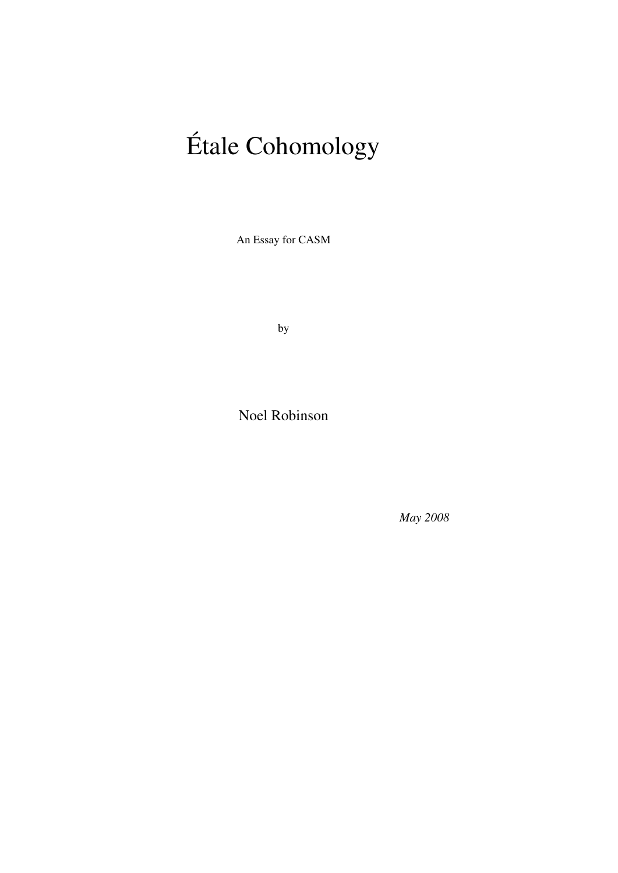# Étale Cohomology

An Essay for CASM

by

Noel Robinson

*May 2008*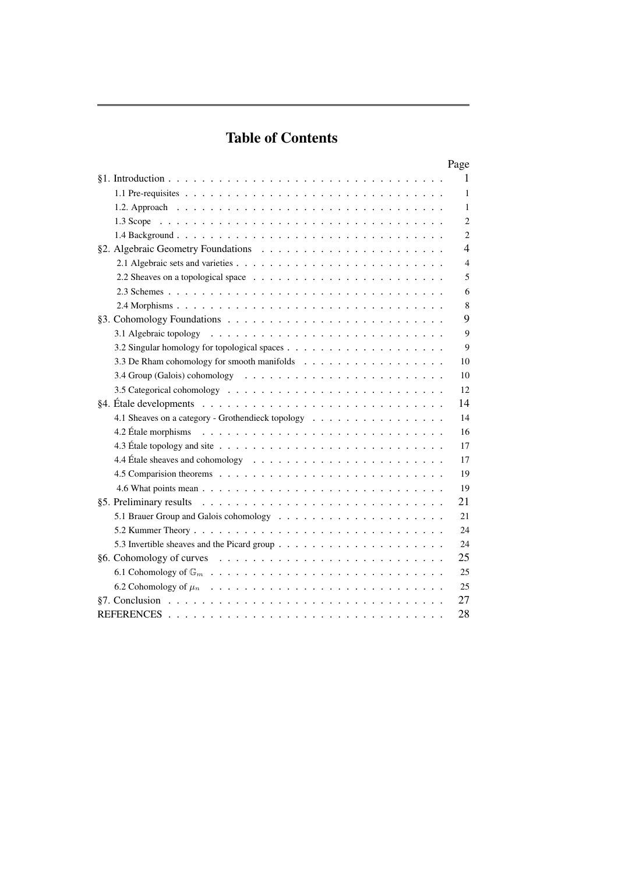# Table of Contents

|                                                                                                    | Page           |
|----------------------------------------------------------------------------------------------------|----------------|
|                                                                                                    | 1              |
|                                                                                                    | 1              |
|                                                                                                    | 1              |
|                                                                                                    | $\overline{c}$ |
|                                                                                                    | 2              |
|                                                                                                    | 4              |
|                                                                                                    | $\overline{4}$ |
|                                                                                                    | 5              |
|                                                                                                    | 6              |
|                                                                                                    | 8              |
|                                                                                                    | 9              |
|                                                                                                    | 9              |
|                                                                                                    | 9              |
| 3.3 De Rham cohomology for smooth manifolds                                                        | 10             |
|                                                                                                    | 10             |
|                                                                                                    | 12             |
|                                                                                                    | 14             |
| 4.1 Sheaves on a category - Grothendieck topology                                                  | 14             |
| 4.2 Étale morphisms $\ldots \ldots \ldots \ldots \ldots \ldots \ldots \ldots \ldots \ldots \ldots$ | 16             |
|                                                                                                    | 17             |
|                                                                                                    | 17             |
|                                                                                                    | 19             |
|                                                                                                    | 19             |
|                                                                                                    | 21             |
|                                                                                                    | 21             |
|                                                                                                    | 24             |
|                                                                                                    | 24             |
| $§6.$ Cohomology of curves $\ldots \ldots \ldots \ldots \ldots \ldots \ldots \ldots \ldots$        | 25             |
|                                                                                                    | 25             |
|                                                                                                    | 25             |
| §7. Conclusion $\ldots \ldots \ldots \ldots \ldots \ldots \ldots \ldots \ldots \ldots \ldots$      | 27             |
|                                                                                                    | 28             |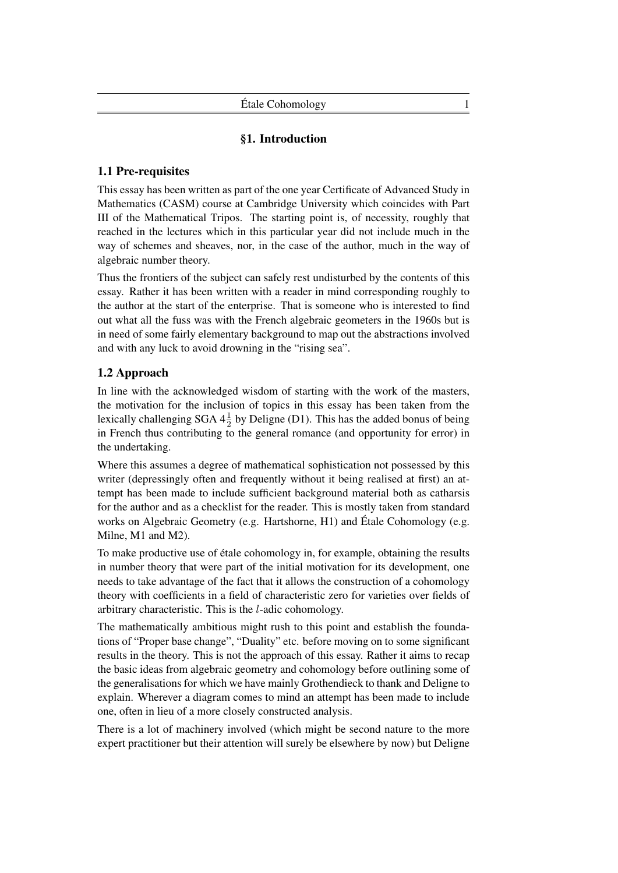## §1. Introduction

## 1.1 Pre-requisites

This essay has been written as part of the one year Certificate of Advanced Study in Mathematics (CASM) course at Cambridge University which coincides with Part III of the Mathematical Tripos. The starting point is, of necessity, roughly that reached in the lectures which in this particular year did not include much in the way of schemes and sheaves, nor, in the case of the author, much in the way of algebraic number theory.

Thus the frontiers of the subject can safely rest undisturbed by the contents of this essay. Rather it has been written with a reader in mind corresponding roughly to the author at the start of the enterprise. That is someone who is interested to find out what all the fuss was with the French algebraic geometers in the 1960s but is in need of some fairly elementary background to map out the abstractions involved and with any luck to avoid drowning in the "rising sea".

## 1.2 Approach

In line with the acknowledged wisdom of starting with the work of the masters, the motivation for the inclusion of topics in this essay has been taken from the lexically challenging SGA  $4\frac{1}{2}$  by Deligne (D1). This has the added bonus of being in French thus contributing to the general romance (and opportunity for error) in the undertaking.

Where this assumes a degree of mathematical sophistication not possessed by this writer (depressingly often and frequently without it being realised at first) an attempt has been made to include sufficient background material both as catharsis for the author and as a checklist for the reader. This is mostly taken from standard works on Algebraic Geometry (e.g. Hartshorne, H1) and Étale Cohomology (e.g. Milne, M1 and M2).

To make productive use of étale cohomology in, for example, obtaining the results in number theory that were part of the initial motivation for its development, one needs to take advantage of the fact that it allows the construction of a cohomology theory with coefficients in a field of characteristic zero for varieties over fields of arbitrary characteristic. This is the l-adic cohomology.

The mathematically ambitious might rush to this point and establish the foundations of "Proper base change", "Duality" etc. before moving on to some significant results in the theory. This is not the approach of this essay. Rather it aims to recap the basic ideas from algebraic geometry and cohomology before outlining some of the generalisations for which we have mainly Grothendieck to thank and Deligne to explain. Wherever a diagram comes to mind an attempt has been made to include one, often in lieu of a more closely constructed analysis.

There is a lot of machinery involved (which might be second nature to the more expert practitioner but their attention will surely be elsewhere by now) but Deligne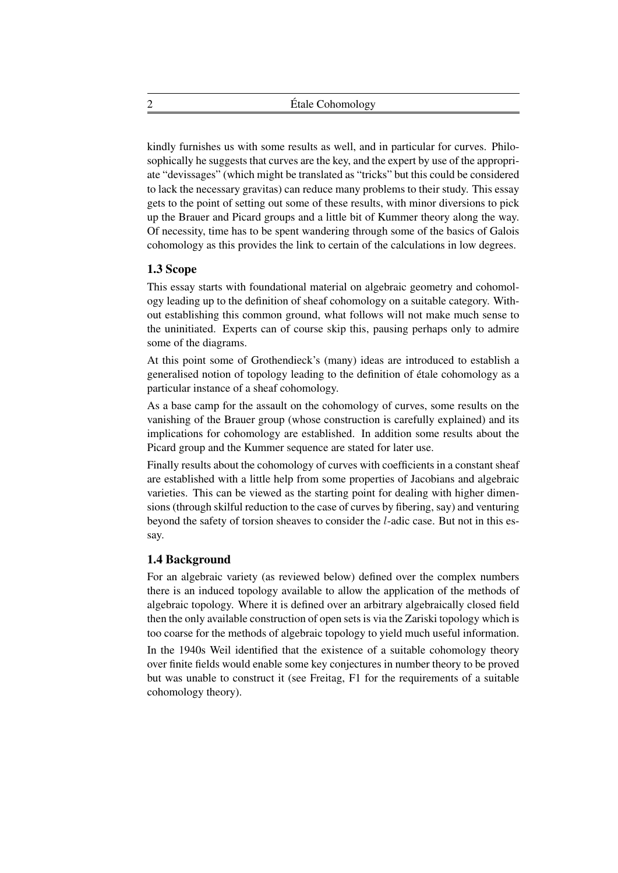kindly furnishes us with some results as well, and in particular for curves. Philosophically he suggests that curves are the key, and the expert by use of the appropriate "devissages" (which might be translated as "tricks" but this could be considered to lack the necessary gravitas) can reduce many problems to their study. This essay gets to the point of setting out some of these results, with minor diversions to pick up the Brauer and Picard groups and a little bit of Kummer theory along the way. Of necessity, time has to be spent wandering through some of the basics of Galois cohomology as this provides the link to certain of the calculations in low degrees.

## 1.3 Scope

This essay starts with foundational material on algebraic geometry and cohomology leading up to the definition of sheaf cohomology on a suitable category. Without establishing this common ground, what follows will not make much sense to the uninitiated. Experts can of course skip this, pausing perhaps only to admire some of the diagrams.

At this point some of Grothendieck's (many) ideas are introduced to establish a generalised notion of topology leading to the definition of étale cohomology as a particular instance of a sheaf cohomology.

As a base camp for the assault on the cohomology of curves, some results on the vanishing of the Brauer group (whose construction is carefully explained) and its implications for cohomology are established. In addition some results about the Picard group and the Kummer sequence are stated for later use.

Finally results about the cohomology of curves with coefficients in a constant sheaf are established with a little help from some properties of Jacobians and algebraic varieties. This can be viewed as the starting point for dealing with higher dimensions (through skilful reduction to the case of curves by fibering, say) and venturing beyond the safety of torsion sheaves to consider the l-adic case. But not in this essay.

## 1.4 Background

For an algebraic variety (as reviewed below) defined over the complex numbers there is an induced topology available to allow the application of the methods of algebraic topology. Where it is defined over an arbitrary algebraically closed field then the only available construction of open sets is via the Zariski topology which is too coarse for the methods of algebraic topology to yield much useful information.

In the 1940s Weil identified that the existence of a suitable cohomology theory over finite fields would enable some key conjectures in number theory to be proved but was unable to construct it (see Freitag, F1 for the requirements of a suitable cohomology theory).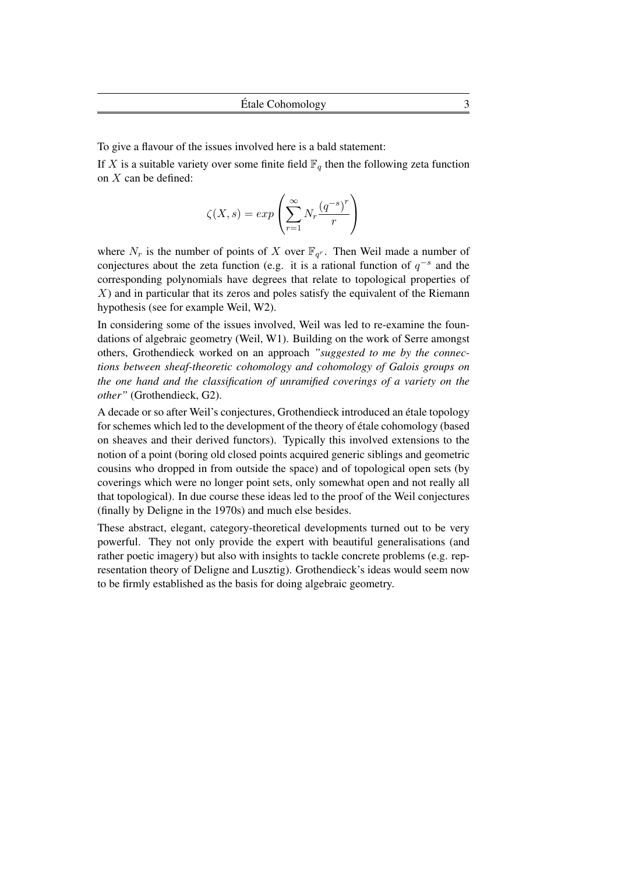To give a flavour of the issues involved here is a bald statement:

If X is a suitable variety over some finite field  $\mathbb{F}_q$  then the following zeta function on  $X$  can be defined:

$$
\zeta(X,s) = exp\left(\sum_{r=1}^{\infty} N_r \frac{(q^{-s})^r}{r}\right)
$$

where  $N_r$  is the number of points of X over  $\mathbb{F}_{q^r}$ . Then Weil made a number of conjectures about the zeta function (e.g. it is a rational function of  $q^{-s}$  and the corresponding polynomials have degrees that relate to topological properties of  $X$ ) and in particular that its zeros and poles satisfy the equivalent of the Riemann hypothesis (see for example Weil, W2).

In considering some of the issues involved, Weil was led to re-examine the foundations of algebraic geometry (Weil, W1). Building on the work of Serre amongst others, Grothendieck worked on an approach *"suggested to me by the connections between sheaf-theoretic cohomology and cohomology of Galois groups on the one hand and the classification of unramified coverings of a variety on the other"* (Grothendieck, G2).

A decade or so after Weil's conjectures, Grothendieck introduced an étale topology for schemes which led to the development of the theory of étale cohomology (based on sheaves and their derived functors). Typically this involved extensions to the notion of a point (boring old closed points acquired generic siblings and geometric cousins who dropped in from outside the space) and of topological open sets (by coverings which were no longer point sets, only somewhat open and not really all that topological). In due course these ideas led to the proof of the Weil conjectures (finally by Deligne in the 1970s) and much else besides.

These abstract, elegant, category-theoretical developments turned out to be very powerful. They not only provide the expert with beautiful generalisations (and rather poetic imagery) but also with insights to tackle concrete problems (e.g. representation theory of Deligne and Lusztig). Grothendieck's ideas would seem now to be firmly established as the basis for doing algebraic geometry.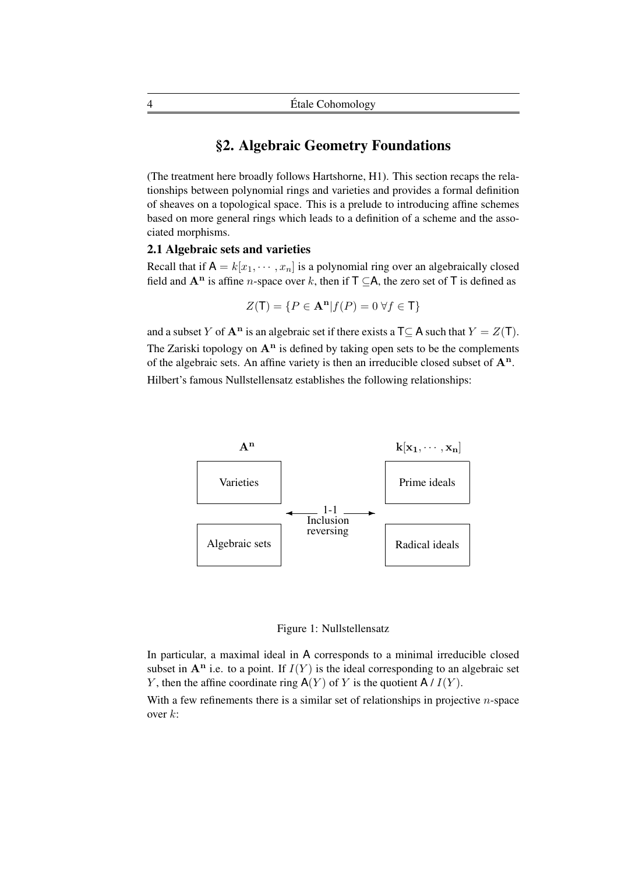## §2. Algebraic Geometry Foundations

(The treatment here broadly follows Hartshorne, H1). This section recaps the relationships between polynomial rings and varieties and provides a formal definition of sheaves on a topological space. This is a prelude to introducing affine schemes based on more general rings which leads to a definition of a scheme and the associated morphisms.

## 2.1 Algebraic sets and varieties

Recall that if  $A = k[x_1, \dots, x_n]$  is a polynomial ring over an algebraically closed field and  $A<sup>n</sup>$  is affine *n*-space over k, then if  $T \subseteq A$ , the zero set of T is defined as

$$
Z(\mathsf{T}) = \{ P \in \mathbf{A}^n | f(P) = 0 \,\forall f \in \mathsf{T} \}
$$

and a subset Y of  $A^n$  is an algebraic set if there exists a  $T \subseteq A$  such that  $Y = Z(T)$ . The Zariski topology on  $A<sup>n</sup>$  is defined by taking open sets to be the complements of the algebraic sets. An affine variety is then an irreducible closed subset of  $A<sup>n</sup>$ . Hilbert's famous Nullstellensatz establishes the following relationships:



Figure 1: Nullstellensatz

In particular, a maximal ideal in A corresponds to a minimal irreducible closed subset in  $A<sup>n</sup>$  i.e. to a point. If  $I(Y)$  is the ideal corresponding to an algebraic set Y, then the affine coordinate ring  $A(Y)$  of Y is the quotient  $A/I(Y)$ .

With a few refinements there is a similar set of relationships in projective  $n$ -space over k: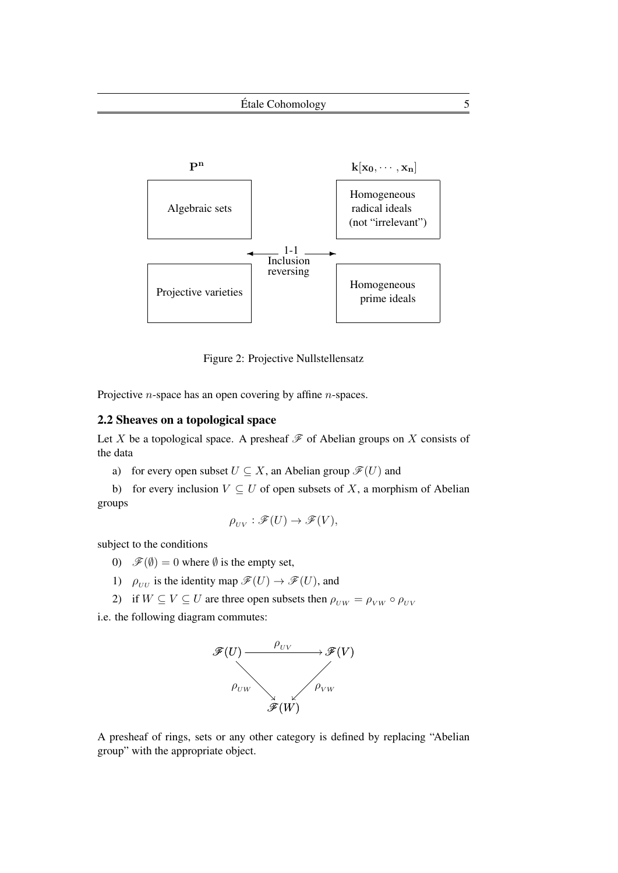

Figure 2: Projective Nullstellensatz

Projective *n*-space has an open covering by affine *n*-spaces.

## 2.2 Sheaves on a topological space

Let X be a topological space. A presheaf  $\mathscr F$  of Abelian groups on X consists of the data

a) for every open subset  $U \subseteq X$ , an Abelian group  $\mathscr{F}(U)$  and

b) for every inclusion  $V \subseteq U$  of open subsets of X, a morphism of Abelian groups

$$
\rho_{UV} : \mathscr{F}(U) \to \mathscr{F}(V),
$$

subject to the conditions

- 0)  $\mathscr{F}(\emptyset) = 0$  where  $\emptyset$  is the empty set,
- 1)  $\rho_{UU}$  is the identity map  $\mathscr{F}(U) \to \mathscr{F}(U)$ , and
- 2) if  $W \subseteq V \subseteq U$  are three open subsets then  $\rho_{UW} = \rho_{VW} \circ \rho_{UV}$

i.e. the following diagram commutes:



A presheaf of rings, sets or any other category is defined by replacing "Abelian group" with the appropriate object.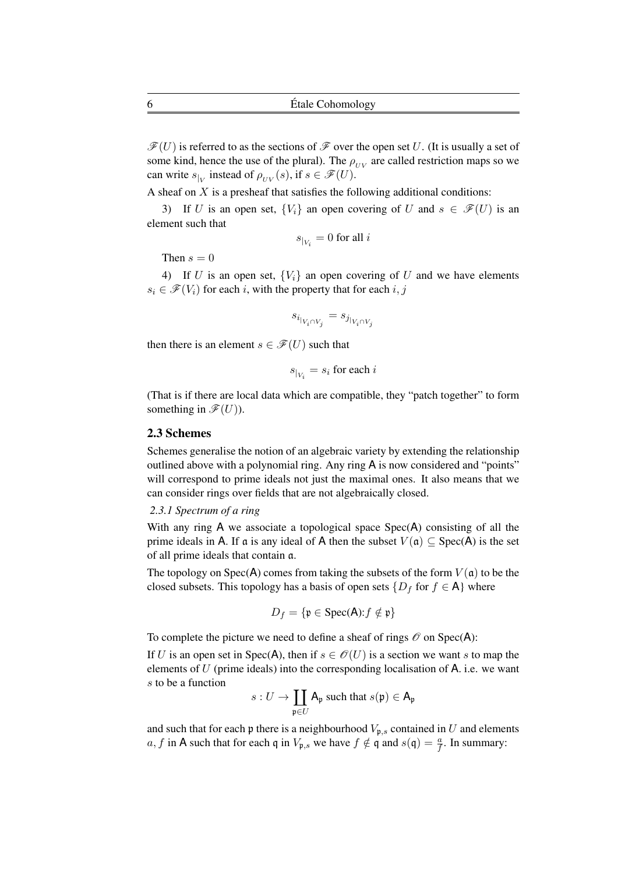$\mathscr{F}(U)$  is referred to as the sections of  $\mathscr{F}$  over the open set U. (It is usually a set of some kind, hence the use of the plural). The  $\rho_{UV}$  are called restriction maps so we can write  $s_{|V}$  instead of  $\rho_{UV}(s)$ , if  $s \in \mathscr{F}(U)$ .

A sheaf on  $X$  is a presheaf that satisfies the following additional conditions:

3) If U is an open set,  ${V_i}$  an open covering of U and  $s \in \mathcal{F}(U)$  is an element such that

$$
s_{|_{V_i}} = 0 \text{ for all } i
$$

Then  $s = 0$ 

4) If U is an open set,  ${V_i}$  an open covering of U and we have elements  $s_i \in \mathcal{F}(V_i)$  for each i, with the property that for each i, j

 $s_{i_{|V_i \cap V_j}} = s_{j_{|V_i \cap V_j}}$ 

then there is an element  $s \in \mathcal{F}(U)$  such that

$$
s_{|_{V_i}} = s_i \text{ for each } i
$$

(That is if there are local data which are compatible, they "patch together" to form something in  $\mathscr{F}(U)$ ).

#### 2.3 Schemes

Schemes generalise the notion of an algebraic variety by extending the relationship outlined above with a polynomial ring. Any ring A is now considered and "points" will correspond to prime ideals not just the maximal ones. It also means that we can consider rings over fields that are not algebraically closed.

#### *2.3.1 Spectrum of a ring*

With any ring A we associate a topological space Spec(A) consisting of all the prime ideals in A. If a is any ideal of A then the subset  $V(\mathfrak{a}) \subset \text{Spec}(A)$  is the set of all prime ideals that contain a.

The topology on Spec(A) comes from taking the subsets of the form  $V(\mathfrak{a})$  to be the closed subsets. This topology has a basis of open sets  $\{D_f \text{ for } f \in A\}$  where

$$
D_f = \{ \mathfrak{p} \in \text{Spec}(\mathsf{A}) : f \notin \mathfrak{p} \}
$$

To complete the picture we need to define a sheaf of rings  $\mathcal O$  on Spec(A):

If U is an open set in Spec(A), then if  $s \in \mathcal{O}(U)$  is a section we want s to map the elements of  $U$  (prime ideals) into the corresponding localisation of  $A$ . i.e. we want s to be a function

$$
s: U \to \coprod_{\mathfrak{p} \in U} A_{\mathfrak{p}} \text{ such that } s(\mathfrak{p}) \in A_{\mathfrak{p}}
$$

and such that for each p there is a neighbourhood  $V_{p,s}$  contained in U and elements a, f in A such that for each q in  $V_{\mathfrak{p},s}$  we have  $f \notin \mathfrak{q}$  and  $s(\mathfrak{q}) = \frac{a}{f}$ . In summary: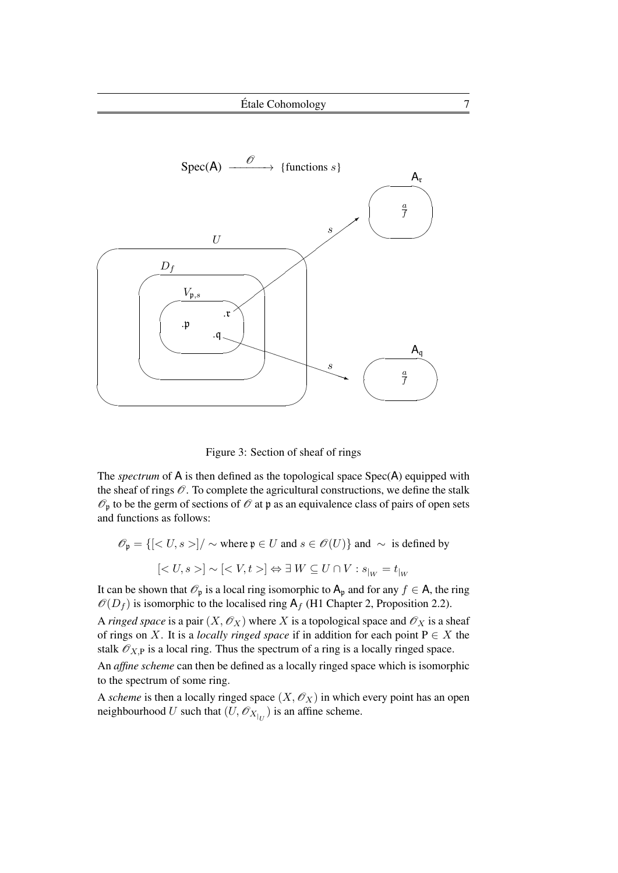

Figure 3: Section of sheaf of rings

The *spectrum* of A is then defined as the topological space Spec(A) equipped with the sheaf of rings  $\mathcal O$ . To complete the agricultural constructions, we define the stalk  $\mathscr{O}_p$  to be the germ of sections of  $\mathscr{O}$  at p as an equivalence class of pairs of open sets and functions as follows:

$$
\mathscr{O}_{\mathfrak{p}} = \{ [ \langle U, s \rangle ] / \sim \text{ where } \mathfrak{p} \in U \text{ and } s \in \mathscr{O}(U) \} \text{ and } \sim \text{ is defined by}
$$

$$
[ \langle U, s \rangle ] \sim [ \langle V, t \rangle ] \Leftrightarrow \exists \ W \subseteq U \cap V : s_{|_{W}} = t_{|_{W}}
$$

It can be shown that  $\mathcal{O}_p$  is a local ring isomorphic to  $A_p$  and for any  $f \in A$ , the ring  $\mathcal{O}(D_f)$  is isomorphic to the localised ring  $A_f$  (H1 Chapter 2, Proposition 2.2).

A *ringed space* is a pair  $(X, \mathcal{O}_X)$  where X is a topological space and  $\mathcal{O}_X$  is a sheaf of rings on X. It is a *locally ringed space* if in addition for each point  $P \in X$  the stalk  $\mathcal{O}_{X,P}$  is a local ring. Thus the spectrum of a ring is a locally ringed space.

An *affine scheme* can then be defined as a locally ringed space which is isomorphic to the spectrum of some ring.

A *scheme* is then a locally ringed space  $(X, \mathcal{O}_X)$  in which every point has an open neighbourhood U such that  $(U, \mathcal{O}_{X|_U})$  is an affine scheme.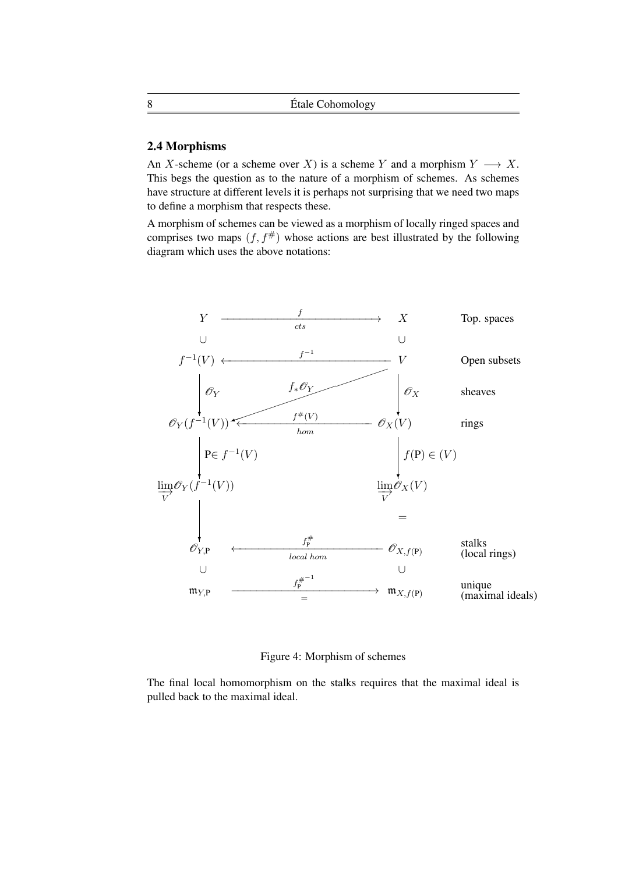## 2.4 Morphisms

An X-scheme (or a scheme over X) is a scheme Y and a morphism  $Y \longrightarrow X$ . This begs the question as to the nature of a morphism of schemes. As schemes have structure at different levels it is perhaps not surprising that we need two maps to define a morphism that respects these.

A morphism of schemes can be viewed as a morphism of locally ringed spaces and comprises two maps  $(f, f^*)$  whose actions are best illustrated by the following diagram which uses the above notations:



Figure 4: Morphism of schemes

The final local homomorphism on the stalks requires that the maximal ideal is pulled back to the maximal ideal.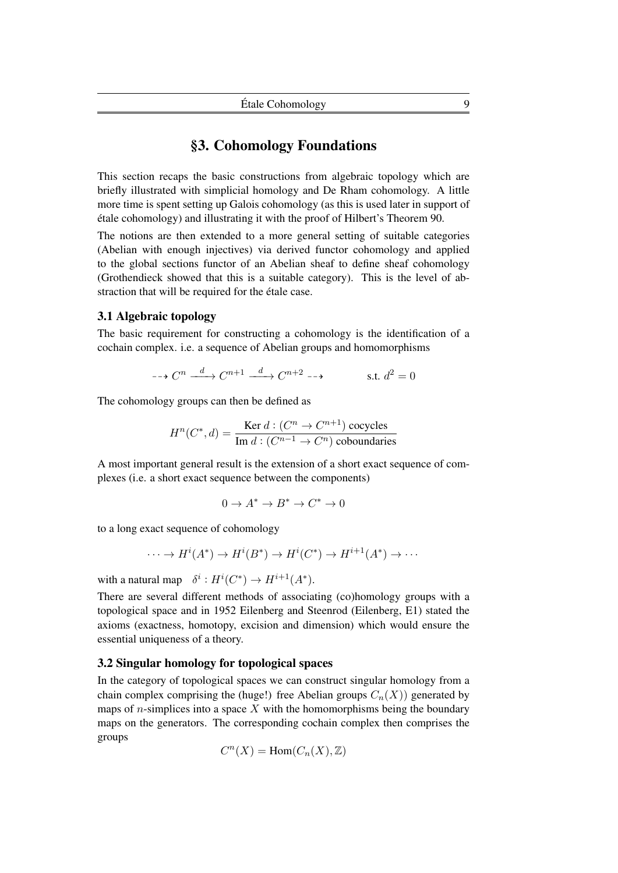## §3. Cohomology Foundations

This section recaps the basic constructions from algebraic topology which are briefly illustrated with simplicial homology and De Rham cohomology. A little more time is spent setting up Galois cohomology (as this is used later in support of étale cohomology) and illustrating it with the proof of Hilbert's Theorem 90.

The notions are then extended to a more general setting of suitable categories (Abelian with enough injectives) via derived functor cohomology and applied to the global sections functor of an Abelian sheaf to define sheaf cohomology (Grothendieck showed that this is a suitable category). This is the level of abstraction that will be required for the étale case.

## 3.1 Algebraic topology

The basic requirement for constructing a cohomology is the identification of a cochain complex. i.e. a sequence of Abelian groups and homomorphisms

$$
\cdots \rightarrow C^n \xrightarrow{d} C^{n+1} \xrightarrow{d} C^{n+2} \cdots
$$
 s.t.  $d^2 = 0$ 

The cohomology groups can then be defined as

$$
H^n(C^*,d) = \frac{\text{Ker } d : (C^n \to C^{n+1}) \text{ cocycles}}{\text{Im } d : (C^{n-1} \to C^n) \text{ coboundaries}}
$$

A most important general result is the extension of a short exact sequence of complexes (i.e. a short exact sequence between the components)

$$
0 \to A^* \to B^* \to C^* \to 0
$$

to a long exact sequence of cohomology

$$
\cdots \to H^{i}(A^{*}) \to H^{i}(B^{*}) \to H^{i}(C^{*}) \to H^{i+1}(A^{*}) \to \cdots
$$

with a natural map  $\delta^i : H^i(C^*) \to H^{i+1}(A^*)$ .

There are several different methods of associating (co)homology groups with a topological space and in 1952 Eilenberg and Steenrod (Eilenberg, E1) stated the axioms (exactness, homotopy, excision and dimension) which would ensure the essential uniqueness of a theory.

#### 3.2 Singular homology for topological spaces

In the category of topological spaces we can construct singular homology from a chain complex comprising the (huge!) free Abelian groups  $C_n(X)$ ) generated by maps of *n*-simplices into a space  $X$  with the homomorphisms being the boundary maps on the generators. The corresponding cochain complex then comprises the groups

$$
C^n(X) = \text{Hom}(C_n(X), \mathbb{Z})
$$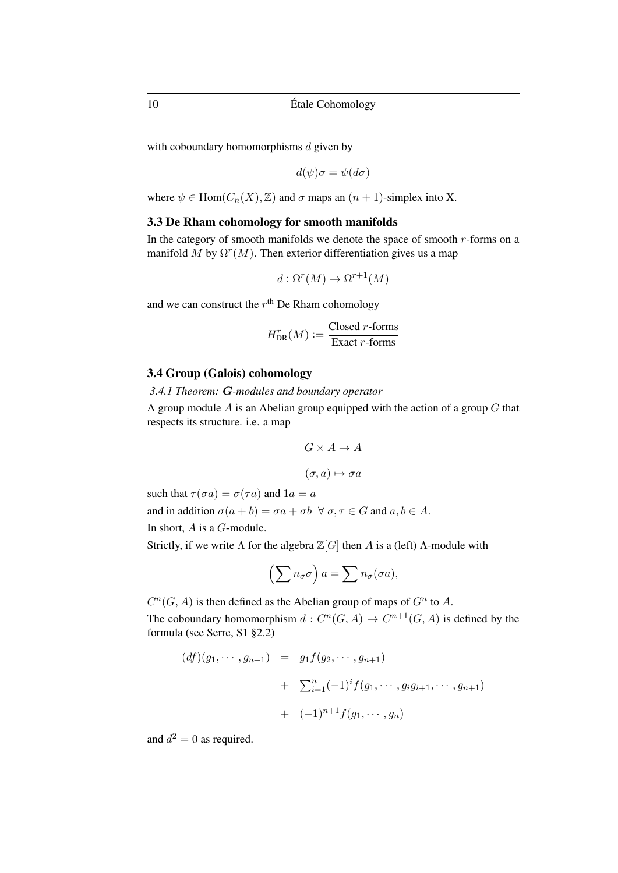with coboundary homomorphisms  $d$  given by

$$
d(\psi)\sigma = \psi(d\sigma)
$$

where  $\psi \in \text{Hom}(C_n(X), \mathbb{Z})$  and  $\sigma$  maps an  $(n + 1)$ -simplex into X.

## 3.3 De Rham cohomology for smooth manifolds

In the category of smooth manifolds we denote the space of smooth  $r$ -forms on a manifold M by  $\Omega^r(M)$ . Then exterior differentiation gives us a map

$$
d: \Omega^r(M) \to \Omega^{r+1}(M)
$$

and we can construct the  $r<sup>th</sup>$  De Rham cohomology

$$
H_{\text{DR}}^r(M) := \frac{\text{Closed } r\text{-forms}}{\text{Exact } r\text{-forms}}
$$

## 3.4 Group (Galois) cohomology

*3.4.1 Theorem:* G*-modules and boundary operator*

A group module  $A$  is an Abelian group equipped with the action of a group  $G$  that respects its structure. i.e. a map

$$
G \times A \to A
$$

 $(\sigma, a) \mapsto \sigma a$ 

such that  $\tau(\sigma a) = \sigma(\tau a)$  and  $1a = a$ and in addition  $\sigma(a + b) = \sigma a + \sigma b \ \forall \sigma, \tau \in G$  and  $a, b \in A$ . In short, A is a G-module.

Strictly, if we write  $\Lambda$  for the algebra  $\mathbb{Z}[G]$  then A is a (left)  $\Lambda$ -module with

$$
\left(\sum n_{\sigma}\sigma\right)a=\sum n_{\sigma}(\sigma a),
$$

 $C^n(G, A)$  is then defined as the Abelian group of maps of  $G^n$  to A. The coboundary homomorphism  $d: C^n(G, A) \to C^{n+1}(G, A)$  is defined by the formula (see Serre, S1 §2.2)

$$
(df)(g_1, \cdots, g_{n+1}) = g_1 f(g_2, \cdots, g_{n+1})
$$
  
+  $\sum_{i=1}^n (-1)^i f(g_1, \cdots, g_i g_{i+1}, \cdots, g_{n+1})$   
+  $(-1)^{n+1} f(g_1, \cdots, g_n)$ 

and  $d^2 = 0$  as required.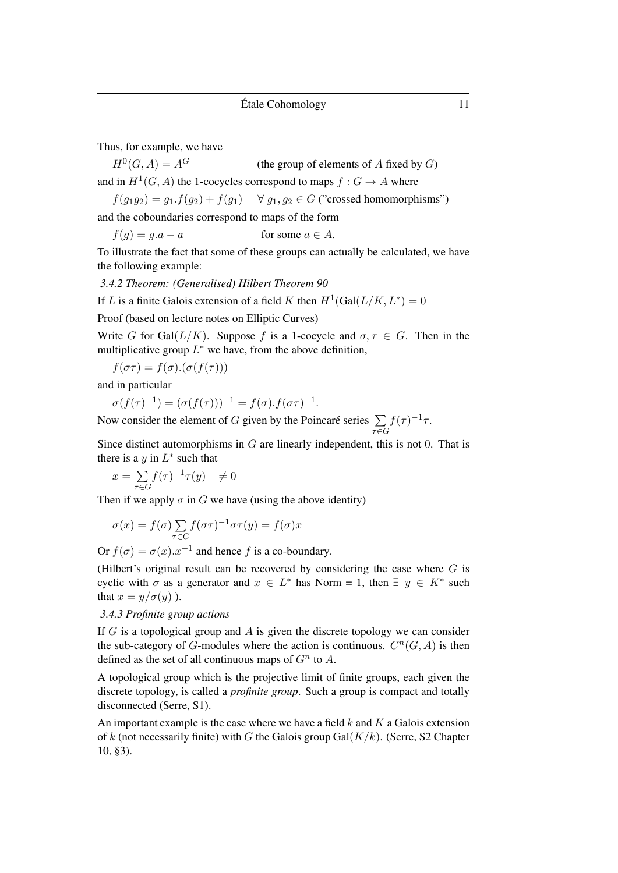Thus, for example, we have

 $H^0(G, A) = A^G$ (the group of elements of  $A$  fixed by  $G$ ) and in  $H^1(G, A)$  the 1-cocycles correspond to maps  $f : G \to A$  where

$$
f(g_1g_2) = g_1.f(g_2) + f(g_1) \quad \forall g_1, g_2 \in G \text{ ("crossed homomorphisms")}
$$

and the coboundaries correspond to maps of the form

 $f(q) = q.a - a$  for some  $a \in A$ .

To illustrate the fact that some of these groups can actually be calculated, we have the following example:

*3.4.2 Theorem: (Generalised) Hilbert Theorem 90*

If L is a finite Galois extension of a field K then  $H^1(\text{Gal}(L/K, L^*) = 0)$ 

Proof (based on lecture notes on Elliptic Curves)

Write G for Gal( $L/K$ ). Suppose f is a 1-cocycle and  $\sigma, \tau \in G$ . Then in the multiplicative group  $L^*$  we have, from the above definition,

$$
f(\sigma\tau)=f(\sigma).(\sigma(f(\tau)))
$$

and in particular

$$
\sigma(f(\tau)^{-1}) = (\sigma(f(\tau)))^{-1} = f(\sigma) \cdot f(\sigma \tau)^{-1}
$$

Now consider the element of G given by the Poincaré series  $\sum$  $\tau \in G$  $f(\tau)^{-1}\tau$ .

Since distinct automorphisms in  $G$  are linearly independent, this is not 0. That is there is a y in  $L^*$  such that

.

$$
x = \sum_{\tau \in G} f(\tau)^{-1} \tau(y) \quad \neq 0
$$

Then if we apply  $\sigma$  in G we have (using the above identity)

$$
\sigma(x) = f(\sigma) \sum_{\tau \in G} f(\sigma \tau)^{-1} \sigma \tau(y) = f(\sigma)x
$$

Or  $f(\sigma) = \sigma(x) . x^{-1}$  and hence f is a co-boundary.

(Hilbert's original result can be recovered by considering the case where  $G$  is cyclic with  $\sigma$  as a generator and  $x \in L^*$  has Norm = 1, then  $\exists y \in K^*$  such that  $x = y/\sigma(y)$ .

## *3.4.3 Profinite group actions*

If G is a topological group and A is given the discrete topology we can consider the sub-category of G-modules where the action is continuous.  $C^n(G, A)$  is then defined as the set of all continuous maps of  $G<sup>n</sup>$  to A.

A topological group which is the projective limit of finite groups, each given the discrete topology, is called a *profinite group*. Such a group is compact and totally disconnected (Serre, S1).

An important example is the case where we have a field  $k$  and  $K$  a Galois extension of k (not necessarily finite) with G the Galois group  $Gal(K/k)$ . (Serre, S2 Chapter 10, §3).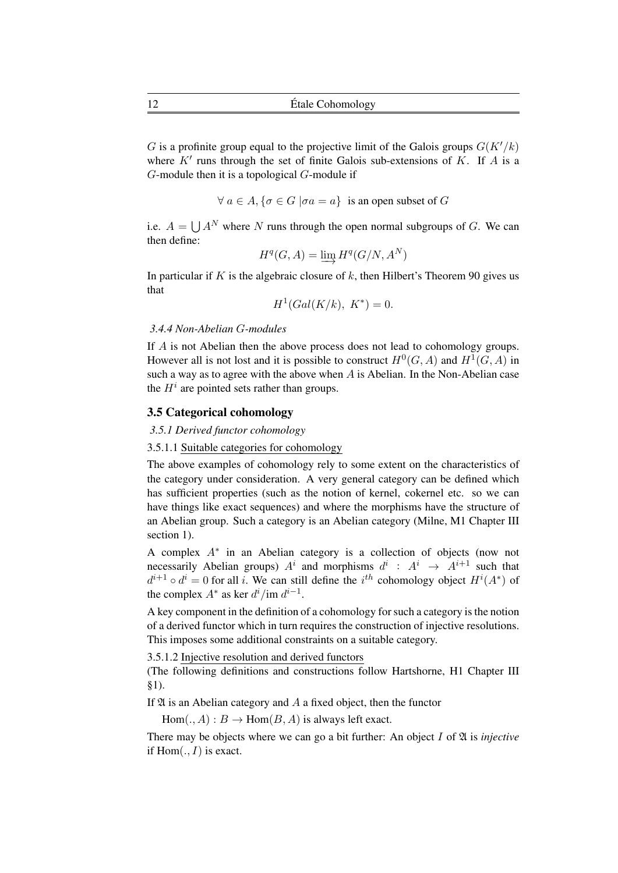G is a profinite group equal to the projective limit of the Galois groups  $G(K'/k)$ where  $K'$  runs through the set of finite Galois sub-extensions of  $K$ . If  $A$  is a G-module then it is a topological G-module if

$$
\forall a \in A, \{ \sigma \in G \mid \sigma a = a \}
$$
 is an open subset of G

i.e.  $A = \bigcup A^N$  where N runs through the open normal subgroups of G. We can then define:

$$
H^q(G,A)=\varinjlim H^q(G/N,A^N)
$$

In particular if K is the algebraic closure of k, then Hilbert's Theorem 90 gives us that

$$
H^1(Gal(K/k), K^*) = 0.
$$

#### *3.4.4 Non-Abelian* G*-modules*

If A is not Abelian then the above process does not lead to cohomology groups. However all is not lost and it is possible to construct  $H^0(G, A)$  and  $H^1(G, A)$  in such a way as to agree with the above when A is Abelian. In the Non-Abelian case the  $H^i$  are pointed sets rather than groups.

## 3.5 Categorical cohomology

## *3.5.1 Derived functor cohomology*

## 3.5.1.1 Suitable categories for cohomology

The above examples of cohomology rely to some extent on the characteristics of the category under consideration. A very general category can be defined which has sufficient properties (such as the notion of kernel, cokernel etc. so we can have things like exact sequences) and where the morphisms have the structure of an Abelian group. Such a category is an Abelian category (Milne, M1 Chapter III section 1).

A complex A<sup>∗</sup> in an Abelian category is a collection of objects (now not necessarily Abelian groups)  $A^i$  and morphisms  $d^i$  :  $A^i \rightarrow A^{i+1}$  such that  $d^{i+1} \circ d^i = 0$  for all i. We can still define the i<sup>th</sup> cohomology object  $H^i(A^*)$  of the complex  $A^*$  as ker  $d^i$ /im  $d^{i-1}$ .

A key component in the definition of a cohomology for such a category is the notion of a derived functor which in turn requires the construction of injective resolutions. This imposes some additional constraints on a suitable category.

3.5.1.2 Injective resolution and derived functors

(The following definitions and constructions follow Hartshorne, H1 Chapter III §1).

If  $\mathfrak A$  is an Abelian category and A a fixed object, then the functor

 $Hom(., A) : B \to Hom(B, A)$  is always left exact.

There may be objects where we can go a bit further: An object  $I$  of  $\mathfrak A$  is *injective* if  $Hom(., I)$  is exact.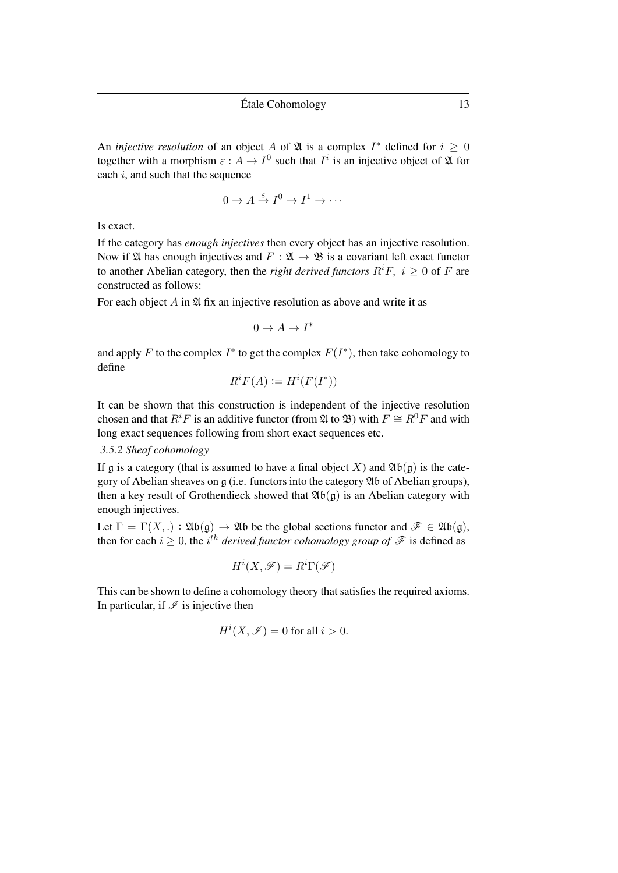An *injective resolution* of an object A of  $\mathfrak A$  is a complex  $I^*$  defined for  $i \geq 0$ together with a morphism  $\varepsilon: A \to I^0$  such that  $I^i$  is an injective object of  $\mathfrak A$  for each  $i$ , and such that the sequence

$$
0 \to A \stackrel{\varepsilon}{\to} I^0 \to I^1 \to \cdots
$$

Is exact.

If the category has *enough injectives* then every object has an injective resolution. Now if  $\mathfrak A$  has enough injectives and  $F : \mathfrak A \to \mathfrak B$  is a covariant left exact functor to another Abelian category, then the *right derived functors*  $R^i F$ ,  $i > 0$  of F are constructed as follows:

For each object  $A$  in  $\mathfrak A$  fix an injective resolution as above and write it as

 $0 \to A \to I^*$ 

and apply F to the complex  $I^*$  to get the complex  $F(I^*)$ , then take cohomology to define

$$
R^i F(A) := H^i(F(I^*))
$$

It can be shown that this construction is independent of the injective resolution chosen and that  $R$ <sup>*i*</sup>F is an additive functor (from  $\mathfrak{A}$  to  $\mathfrak{B}$ ) with  $F \cong R^0F$  and with long exact sequences following from short exact sequences etc.

## *3.5.2 Sheaf cohomology*

If g is a category (that is assumed to have a final object X) and  $\mathfrak{Ab}(\mathfrak{g})$  is the category of Abelian sheaves on g (i.e. functors into the category Ab of Abelian groups), then a key result of Grothendieck showed that  $\mathfrak{Ab}(\mathfrak{g})$  is an Abelian category with enough injectives.

Let  $\Gamma = \Gamma(X,.) : \mathfrak{Ab}(\mathfrak{g}) \to \mathfrak{Ab}$  be the global sections functor and  $\mathscr{F} \in \mathfrak{Ab}(\mathfrak{g})$ , then for each  $i \geq 0$ , the  $i<sup>th</sup>$  *derived functor cohomology group of*  $\mathscr F$  is defined as

$$
H^i(X,\mathscr{F})=R^i\Gamma(\mathscr{F})
$$

This can be shown to define a cohomology theory that satisfies the required axioms. In particular, if  $\mathcal I$  is injective then

$$
H^i(X, \mathcal{I}) = 0
$$
 for all  $i > 0$ .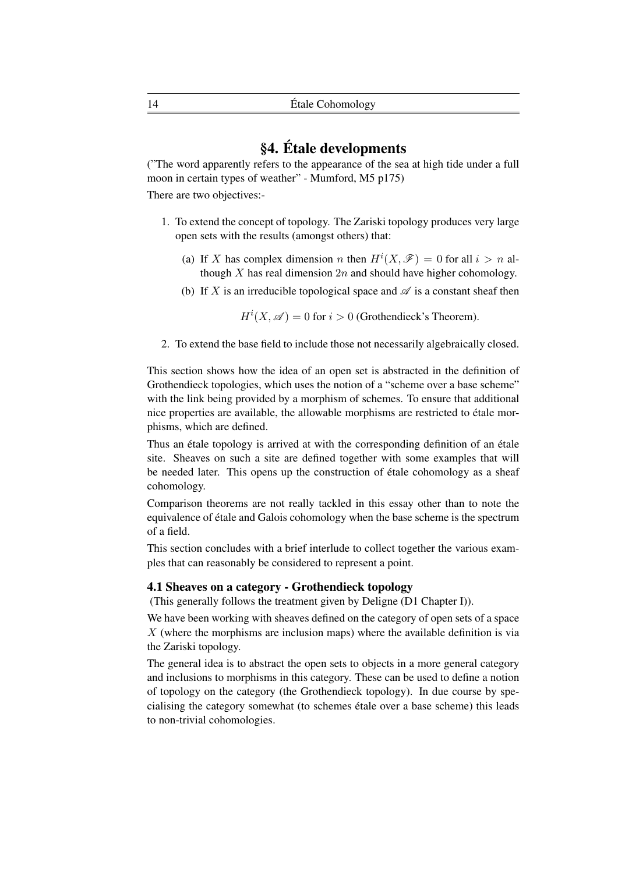## §4. Étale developments

("The word apparently refers to the appearance of the sea at high tide under a full moon in certain types of weather" - Mumford, M5 p175)

There are two objectives:-

- 1. To extend the concept of topology. The Zariski topology produces very large open sets with the results (amongst others) that:
	- (a) If X has complex dimension n then  $H^{i}(X,\mathcal{F}) = 0$  for all  $i > n$  although X has real dimension  $2n$  and should have higher cohomology.
	- (b) If X is an irreducible topological space and  $\mathscr A$  is a constant sheaf then

 $H^i(X, \mathscr{A}) = 0$  for  $i > 0$  (Grothendieck's Theorem).

2. To extend the base field to include those not necessarily algebraically closed.

This section shows how the idea of an open set is abstracted in the definition of Grothendieck topologies, which uses the notion of a "scheme over a base scheme" with the link being provided by a morphism of schemes. To ensure that additional nice properties are available, the allowable morphisms are restricted to étale morphisms, which are defined.

Thus an étale topology is arrived at with the corresponding definition of an étale site. Sheaves on such a site are defined together with some examples that will be needed later. This opens up the construction of étale cohomology as a sheaf cohomology.

Comparison theorems are not really tackled in this essay other than to note the equivalence of étale and Galois cohomology when the base scheme is the spectrum of a field.

This section concludes with a brief interlude to collect together the various examples that can reasonably be considered to represent a point.

## 4.1 Sheaves on a category - Grothendieck topology

(This generally follows the treatment given by Deligne (D1 Chapter I)).

We have been working with sheaves defined on the category of open sets of a space  $X$  (where the morphisms are inclusion maps) where the available definition is via the Zariski topology.

The general idea is to abstract the open sets to objects in a more general category and inclusions to morphisms in this category. These can be used to define a notion of topology on the category (the Grothendieck topology). In due course by specialising the category somewhat (to schemes étale over a base scheme) this leads to non-trivial cohomologies.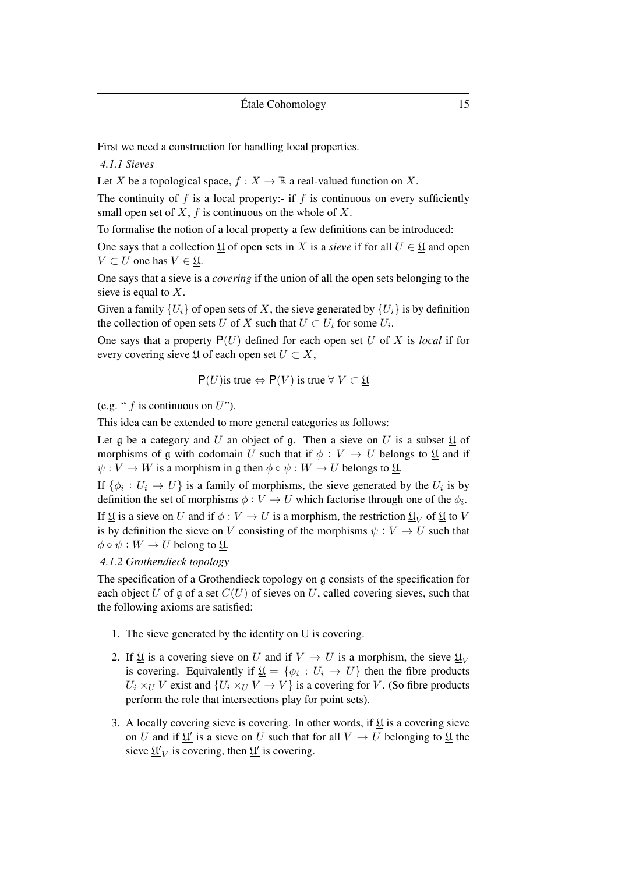First we need a construction for handling local properties.

*4.1.1 Sieves*

Let X be a topological space,  $f : X \to \mathbb{R}$  a real-valued function on X.

The continuity of  $f$  is a local property:- if  $f$  is continuous on every sufficiently small open set of X,  $f$  is continuous on the whole of X.

To formalise the notion of a local property a few definitions can be introduced:

One says that a collection  $\mathfrak U$  of open sets in X is a *sieve* if for all  $U \in \mathfrak U$  and open  $V \subset U$  one has  $V \in \mathfrak{U}$ .

One says that a sieve is a *covering* if the union of all the open sets belonging to the sieve is equal to  $X$ .

Given a family  $\{U_i\}$  of open sets of X, the sieve generated by  $\{U_i\}$  is by definition the collection of open sets U of X such that  $U \subset U_i$  for some  $U_i$ .

One says that a property  $P(U)$  defined for each open set U of X is *local* if for every covering sieve  $\underline{\mathfrak{U}}$  of each open set  $U \subset X$ ,

$$
P(U)
$$
 is true  $\Leftrightarrow P(V)$  is true  $\forall V \subset \underline{\mathfrak{U}}$ 

(e.g. "  $f$  is continuous on  $U$ ").

This idea can be extended to more general categories as follows:

Let g be a category and U an object of g. Then a sieve on U is a subset  $\mathfrak U$  of morphisms of g with codomain U such that if  $\phi : V \to U$  belongs to  $\mathfrak{U}$  and if  $\psi: V \to W$  is a morphism in g then  $\phi \circ \psi: W \to U$  belongs to  $\mathfrak{U}$ .

If  $\{\phi_i: U_i \to U\}$  is a family of morphisms, the sieve generated by the  $U_i$  is by definition the set of morphisms  $\phi: V \to U$  which factorise through one of the  $\phi_i$ .

If  $\mathfrak U$  is a sieve on U and if  $\phi: V \to U$  is a morphism, the restriction  $\mathfrak U_V$  of  $\mathfrak U$  to V is by definition the sieve on V consisting of the morphisms  $\psi : V \to U$  such that  $\phi \circ \psi : W \to U$  belong to  $\mathfrak{U}$ .

*4.1.2 Grothendieck topology*

The specification of a Grothendieck topology on g consists of the specification for each object U of g of a set  $C(U)$  of sieves on U, called covering sieves, such that the following axioms are satisfied:

- 1. The sieve generated by the identity on U is covering.
- 2. If  $\underline{\mathfrak{U}}$  is a covering sieve on U and if  $V \to U$  is a morphism, the sieve  $\underline{\mathfrak{U}}_V$ is covering. Equivalently if  $\underline{\mathfrak{U}} = \{\phi_i : U_i \to U\}$  then the fibre products  $U_i \times_U V$  exist and  $\{U_i \times_U V \to V\}$  is a covering for V. (So fibre products perform the role that intersections play for point sets).
- 3. A locally covering sieve is covering. In other words, if  $\mathfrak{U}$  is a covering sieve on U and if  $\underline{\mathfrak{U}}'$  is a sieve on U such that for all  $V \to U$  belonging to  $\underline{\mathfrak{U}}$  the sieve  $\underline{\mathfrak{U}}_V$  is covering, then  $\underline{\mathfrak{U}}_V$  is covering.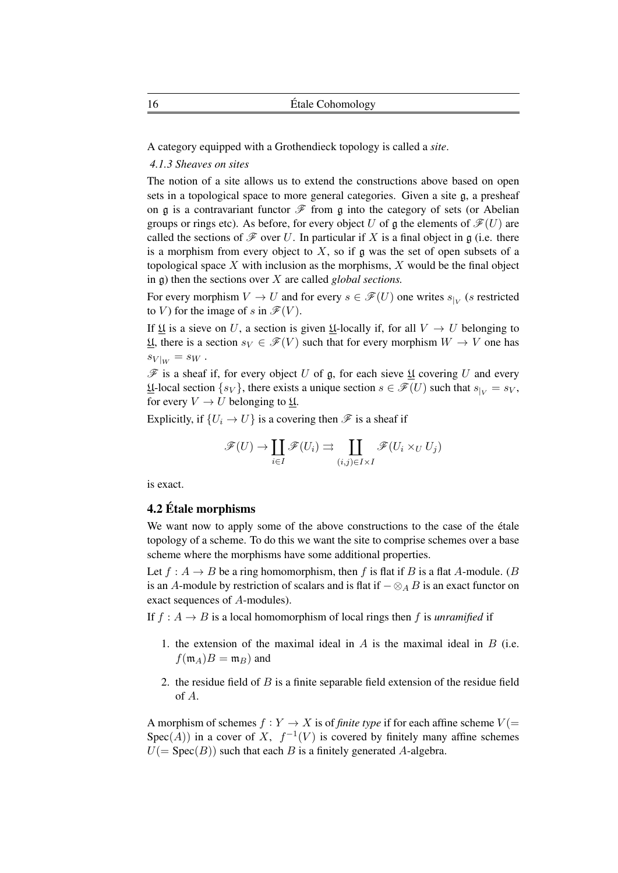A category equipped with a Grothendieck topology is called a *site*.

## *4.1.3 Sheaves on sites*

The notion of a site allows us to extend the constructions above based on open sets in a topological space to more general categories. Given a site g, a presheaf on g is a contravariant functor  $\mathcal F$  from g into the category of sets (or Abelian groups or rings etc). As before, for every object U of a the elements of  $\mathscr{F}(U)$  are called the sections of  $\mathscr F$  over U. In particular if X is a final object in g (i.e. there is a morphism from every object to  $X$ , so if g was the set of open subsets of a topological space  $X$  with inclusion as the morphisms,  $X$  would be the final object in g) then the sections over X are called *global sections.*

For every morphism  $V \to U$  and for every  $s \in \mathscr{F}(U)$  one writes  $s_{|V}$  (s restricted to V) for the image of s in  $\mathscr{F}(V)$ .

If If is a sieve on U, a section is given II-locally if, for all  $V \to U$  belonging to U, there is a section  $s_V \in \mathscr{F}(V)$  such that for every morphism  $W \to V$  one has  $s_{V|_W} = s_W$ .

 $\mathscr F$  is a sheaf if, for every object U of g, for each sieve  $\mathfrak U$  covering U and every  $\underline{\mathfrak{U}}$ -local section  $\{s_V\}$ , there exists a unique section  $s \in \mathscr{F}(U)$  such that  $s_{|V|} = s_V$ , for every  $V \to U$  belonging to  $\underline{\mathfrak{U}}$ .

Explicitly, if  $\{U_i \to U\}$  is a covering then  $\mathscr F$  is a sheaf if

$$
\mathscr{F}(U) \to \coprod_{i \in I} \mathscr{F}(U_i) \rightrightarrows \coprod_{(i,j) \in I \times I} \mathscr{F}(U_i \times_U U_j)
$$

is exact.

## 4.2 Étale morphisms

We want now to apply some of the above constructions to the case of the étale topology of a scheme. To do this we want the site to comprise schemes over a base scheme where the morphisms have some additional properties.

Let  $f : A \to B$  be a ring homomorphism, then f is flat if B is a flat A-module. (B is an A-module by restriction of scalars and is flat if  $-\otimes_A B$  is an exact functor on exact sequences of A-modules).

If  $f : A \rightarrow B$  is a local homomorphism of local rings then f is *unramified* if

- 1. the extension of the maximal ideal in  $A$  is the maximal ideal in  $B$  (i.e.  $f(\mathfrak{m}_A)B = \mathfrak{m}_B$ ) and
- 2. the residue field of  $B$  is a finite separable field extension of the residue field of A.

A morphism of schemes  $f: Y \to X$  is of *finite type* if for each affine scheme  $V(=$ Spec(A)) in a cover of X,  $f^{-1}(V)$  is covered by finitely many affine schemes  $U(=\text{Spec}(B))$  such that each B is a finitely generated A-algebra.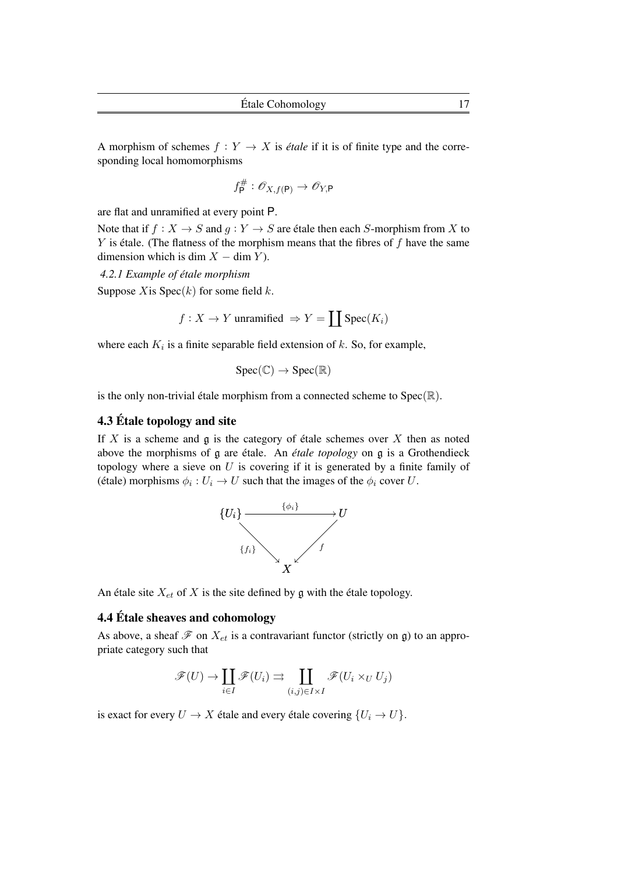A morphism of schemes  $f : Y \to X$  is *étale* if it is of finite type and the corresponding local homomorphisms

$$
f_{\mathsf{P}}^{\#}:\mathscr{O}_{X,f(\mathsf{P})}\to\mathscr{O}_{Y,\mathsf{P}}
$$

are flat and unramified at every point P.

Note that if  $f : X \to S$  and  $g : Y \to S$  are étale then each S-morphism from X to  $Y$  is étale. (The flatness of the morphism means that the fibres of  $f$  have the same dimension which is dim  $X - \dim Y$ ).

*4.2.1 Example of étale morphism*

Suppose X is  $Spec(k)$  for some field k.

$$
f: X \to Y
$$
 unramified  $\Rightarrow Y = \prod \text{Spec}(K_i)$ 

where each  $K_i$  is a finite separable field extension of  $k$ . So, for example,

$$
Spec(\mathbb{C}) \to Spec(\mathbb{R})
$$

is the only non-trivial étale morphism from a connected scheme to  $Spec(\mathbb{R})$ .

## 4.3 Étale topology and site

If X is a scheme and  $\mathfrak g$  is the category of étale schemes over X then as noted above the morphisms of g are étale. An *étale topology* on g is a Grothendieck topology where a sieve on  $U$  is covering if it is generated by a finite family of (étale) morphisms  $\phi_i: U_i \to U$  such that the images of the  $\phi_i$  cover U.



An étale site  $X_{et}$  of X is the site defined by g with the étale topology.

## 4.4 Étale sheaves and cohomology

As above, a sheaf  $\mathscr F$  on  $X_{et}$  is a contravariant functor (strictly on g) to an appropriate category such that

$$
\mathscr{F}(U) \to \coprod_{i \in I} \mathscr{F}(U_i) \rightrightarrows \coprod_{(i,j) \in I \times I} \mathscr{F}(U_i \times_U U_j)
$$

is exact for every  $U \to X$  étale and every étale covering  $\{U_i \to U\}$ .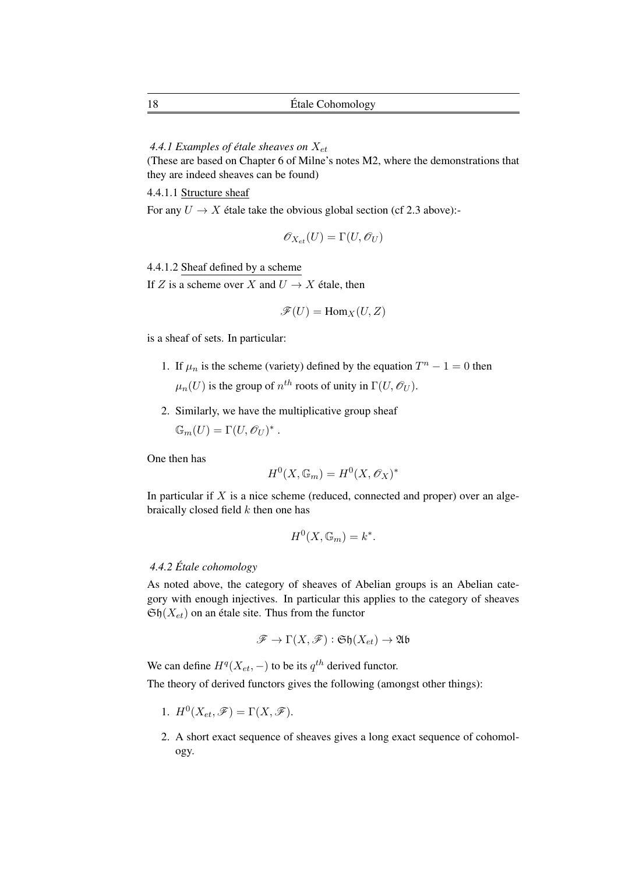4.4.1 Examples of étale sheaves on  $X_{et}$ 

(These are based on Chapter 6 of Milne's notes M2, where the demonstrations that they are indeed sheaves can be found)

4.4.1.1 Structure sheaf

For any  $U \rightarrow X$  étale take the obvious global section (cf 2.3 above):-

$$
\mathscr{O}_{X_{et}}(U) = \Gamma(U, \mathscr{O}_U)
$$

4.4.1.2 Sheaf defined by a scheme

If Z is a scheme over X and  $U \rightarrow X$  étale, then

$$
\mathscr{F}(U) = \mathrm{Hom}_X(U,Z)
$$

is a sheaf of sets. In particular:

- 1. If  $\mu_n$  is the scheme (variety) defined by the equation  $T^n 1 = 0$  then  $\mu_n(U)$  is the group of  $n^{th}$  roots of unity in  $\Gamma(U, \mathcal{O}_U)$ .
- 2. Similarly, we have the multiplicative group sheaf

 $\mathbb{G}_m(U) = \Gamma(U, \mathscr{O}_U)^*$ .

One then has

$$
H^0(X, \mathbb{G}_m) = H^0(X, \mathscr{O}_X)^*
$$

In particular if  $X$  is a nice scheme (reduced, connected and proper) over an algebraically closed field  $k$  then one has

$$
H^0(X, \mathbb{G}_m) = k^*.
$$

## *4.4.2 Étale cohomology*

As noted above, the category of sheaves of Abelian groups is an Abelian category with enough injectives. In particular this applies to the category of sheaves  $\mathfrak{Sh}(X_{et})$  on an étale site. Thus from the functor

$$
\mathscr{F} \to \Gamma(X,\mathscr{F}) : \mathfrak{Sh}(X_{et}) \to \mathfrak{Ab}
$$

We can define  $H^q(X_{et},-)$  to be its  $q^{th}$  derived functor.

The theory of derived functors gives the following (amongst other things):

- 1.  $H^0(X_{et}, \mathscr{F}) = \Gamma(X, \mathscr{F}).$
- 2. A short exact sequence of sheaves gives a long exact sequence of cohomology.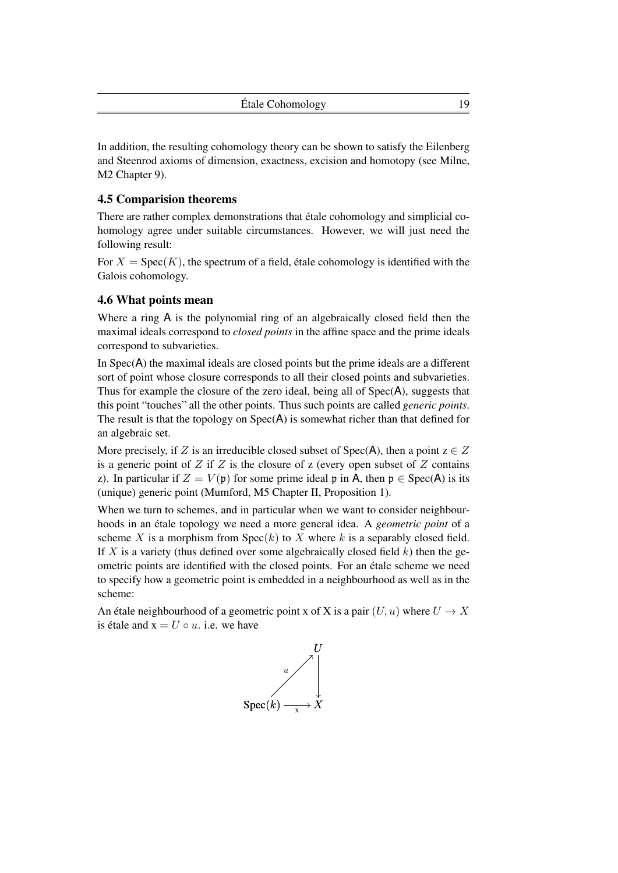In addition, the resulting cohomology theory can be shown to satisfy the Eilenberg and Steenrod axioms of dimension, exactness, excision and homotopy (see Milne, M2 Chapter 9).

## 4.5 Comparision theorems

There are rather complex demonstrations that étale cohomology and simplicial cohomology agree under suitable circumstances. However, we will just need the following result:

For  $X = \text{Spec}(K)$ , the spectrum of a field, étale cohomology is identified with the Galois cohomology.

## 4.6 What points mean

Where a ring A is the polynomial ring of an algebraically closed field then the maximal ideals correspond to *closed points* in the affine space and the prime ideals correspond to subvarieties.

In Spec(A) the maximal ideals are closed points but the prime ideals are a different sort of point whose closure corresponds to all their closed points and subvarieties. Thus for example the closure of the zero ideal, being all of Spec(A), suggests that this point "touches" all the other points. Thus such points are called *generic points*. The result is that the topology on  $Spec(A)$  is somewhat richer than that defined for an algebraic set.

More precisely, if Z is an irreducible closed subset of  $Spec(A)$ , then a point  $z \in Z$ is a generic point of  $Z$  if  $Z$  is the closure of  $z$  (every open subset of  $Z$  contains z). In particular if  $Z = V(\mathfrak{p})$  for some prime ideal  $\mathfrak{p}$  in A, then  $\mathfrak{p} \in \text{Spec}(A)$  is its (unique) generic point (Mumford, M5 Chapter II, Proposition 1).

When we turn to schemes, and in particular when we want to consider neighbourhoods in an étale topology we need a more general idea. A *geometric point* of a scheme X is a morphism from  $Spec(k)$  to X where k is a separably closed field. If X is a variety (thus defined over some algebraically closed field  $k$ ) then the geometric points are identified with the closed points. For an étale scheme we need to specify how a geometric point is embedded in a neighbourhood as well as in the scheme:

An étale neighbourhood of a geometric point x of X is a pair  $(U, u)$  where  $U \to X$ is étale and  $x = U \circ u$ . i.e. we have

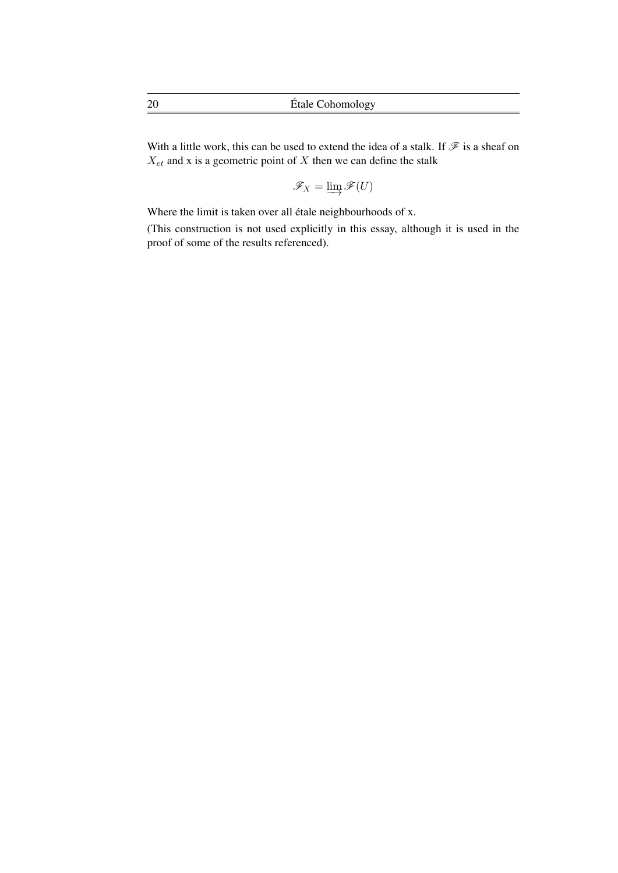With a little work, this can be used to extend the idea of a stalk. If  $\mathcal F$  is a sheaf on  $X_{et}$  and x is a geometric point of X then we can define the stalk

 $\mathscr{F}_X = \varinjlim \mathscr{F}(U)$ 

Where the limit is taken over all étale neighbourhoods of x.

(This construction is not used explicitly in this essay, although it is used in the proof of some of the results referenced).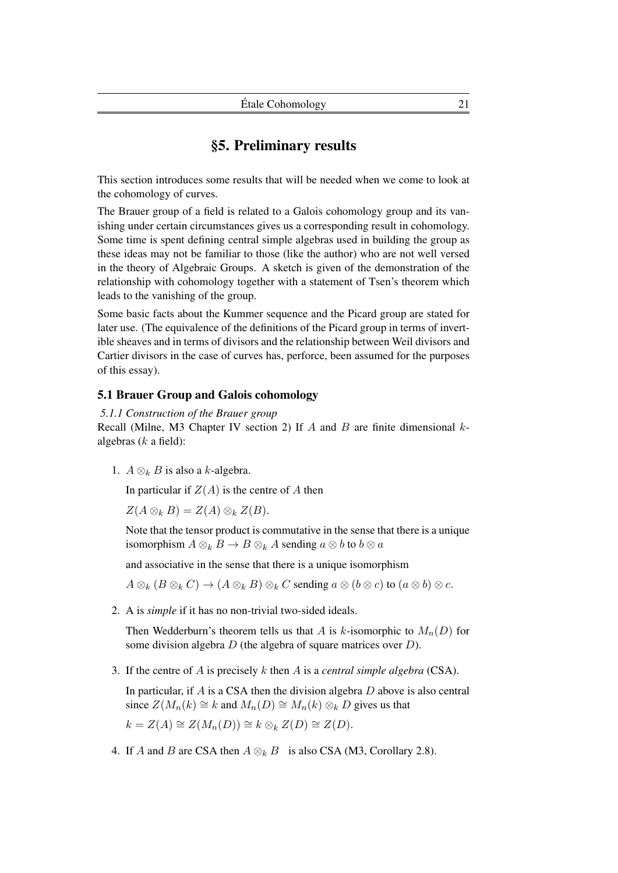## §5. Preliminary results

This section introduces some results that will be needed when we come to look at the cohomology of curves.

The Brauer group of a field is related to a Galois cohomology group and its vanishing under certain circumstances gives us a corresponding result in cohomology. Some time is spent defining central simple algebras used in building the group as these ideas may not be familiar to those (like the author) who are not well versed in the theory of Algebraic Groups. A sketch is given of the demonstration of the relationship with cohomology together with a statement of Tsen's theorem which leads to the vanishing of the group.

Some basic facts about the Kummer sequence and the Picard group are stated for later use. (The equivalence of the definitions of the Picard group in terms of invertible sheaves and in terms of divisors and the relationship between Weil divisors and Cartier divisors in the case of curves has, perforce, been assumed for the purposes of this essay).

## 5.1 Brauer Group and Galois cohomology

*5.1.1 Construction of the Brauer group*

Recall (Milne, M3 Chapter IV section 2) If A and B are finite dimensional  $k$ algebras  $(k$  a field):

1.  $A \otimes_k B$  is also a k-algebra.

In particular if  $Z(A)$  is the centre of A then

$$
Z(A\otimes_k B)=Z(A)\otimes_k Z(B).
$$

Note that the tensor product is commutative in the sense that there is a unique isomorphism  $A \otimes_k B \to B \otimes_k A$  sending  $a \otimes b$  to  $b \otimes a$ 

and associative in the sense that there is a unique isomorphism

 $A \otimes_k (B \otimes_k C) \to (A \otimes_k B) \otimes_k C$  sending  $a \otimes (b \otimes c)$  to  $(a \otimes b) \otimes c$ .

2. A is *simple* if it has no non-trivial two-sided ideals.

Then Wedderburn's theorem tells us that A is k-isomorphic to  $M_n(D)$  for some division algebra D (the algebra of square matrices over D).

3. If the centre of A is precisely k then A is a *central simple algebra* (CSA).

In particular, if A is a CSA then the division algebra  $D$  above is also central since  $Z(M_n(k) \cong k$  and  $M_n(D) \cong M_n(k) \otimes_k D$  gives us that  $k = Z(A) \cong Z(M_n(D)) \cong k \otimes_k Z(D) \cong Z(D).$ 

4. If A and B are CSA then  $A \otimes_k B$  is also CSA (M3, Corollary 2.8).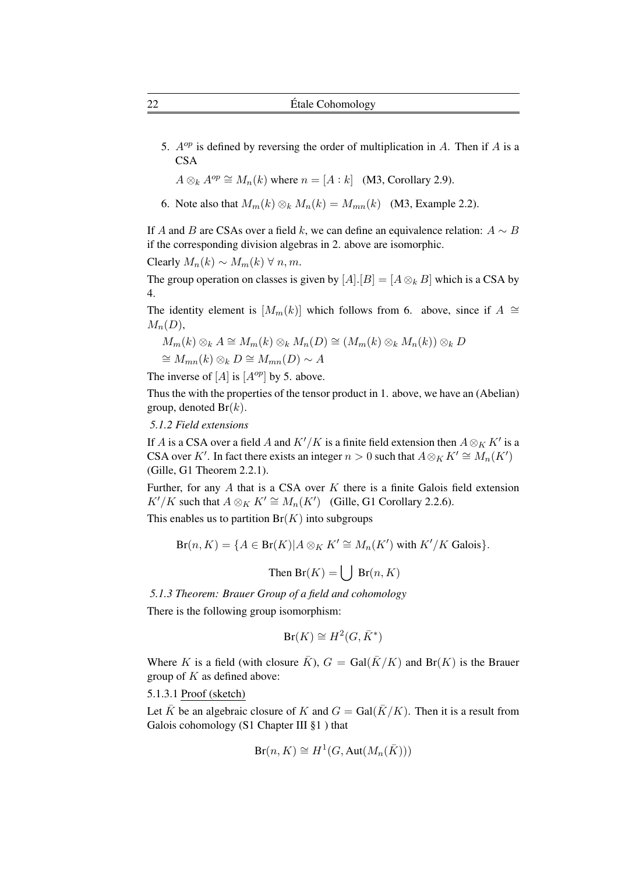5.  $A^{op}$  is defined by reversing the order of multiplication in A. Then if A is a **CSA** 

 $A \otimes_k A^{op} \cong M_n(k)$  where  $n = [A : k]$  (M3, Corollary 2.9).

6. Note also that  $M_m(k) \otimes_k M_n(k) = M_{mn}(k)$  (M3, Example 2.2).

If A and B are CSAs over a field k, we can define an equivalence relation:  $A \sim B$ if the corresponding division algebras in 2. above are isomorphic.

Clearly  $M_n(k) \sim M_m(k) \ \forall \ n, m$ .

The group operation on classes is given by  $[A][B] = [A \otimes_k B]$  which is a CSA by 4.

The identity element is  $[M_m(k)]$  which follows from 6. above, since if  $A \cong$  $M_n(D)$ ,

$$
M_m(k) \otimes_k A \cong M_m(k) \otimes_k M_n(D) \cong (M_m(k) \otimes_k M_n(k)) \otimes_k D
$$
  

$$
\cong M_{mn}(k) \otimes_k D \cong M_{mn}(D) \sim A
$$

The inverse of [A] is  $[A^{op}]$  by 5. above.

Thus the with the properties of the tensor product in 1. above, we have an (Abelian) group, denoted  $Br(k)$ .

*5.1.2 Field extensions*

If A is a CSA over a field A and  $K'/K$  is a finite field extension then  $A \otimes_K K'$  is a CSA over K'. In fact there exists an integer  $n > 0$  such that  $A \otimes_K K' \cong M_n(K')$ (Gille, G1 Theorem 2.2.1).

Further, for any  $A$  that is a CSA over  $K$  there is a finite Galois field extension  $K'/K$  such that  $A \otimes_K K' \cong M_n(K')$  (Gille, G1 Corollary 2.2.6).

This enables us to partition  $Br(K)$  into subgroups

$$
Br(n, K) = \{ A \in Br(K) | A \otimes_K K' \cong M_n(K') \text{ with } K'/K \text{ Galois} \}.
$$

Then  $Br(K) = \left| \int Br(n, K) \right|$ 

*5.1.3 Theorem: Brauer Group of a field and cohomology*

There is the following group isomorphism:

$$
Br(K) \cong H^2(G, \bar{K}^*)
$$

Where K is a field (with closure  $\bar{K}$ ),  $G = \text{Gal}(\bar{K}/K)$  and  $\text{Br}(K)$  is the Brauer group of  $K$  as defined above:

5.1.3.1 Proof (sketch)

Let  $\bar{K}$  be an algebraic closure of K and  $G = \text{Gal}(\bar{K}/K)$ . Then it is a result from Galois cohomology (S1 Chapter III §1 ) that

$$
\operatorname{Br}(n, K) \cong H^1(G, \operatorname{Aut}(M_n(\bar{K})))
$$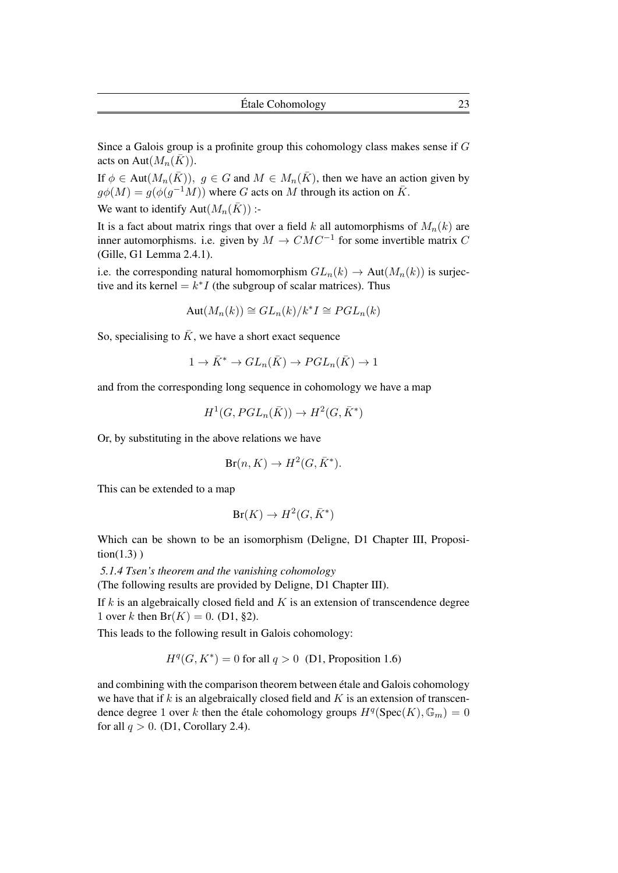Since a Galois group is a profinite group this cohomology class makes sense if G acts on Aut $(M_n(\overline{K}))$ .

If  $\phi \in \text{Aut}(M_n(\overline{K}))$ ,  $g \in G$  and  $M \in M_n(\overline{K})$ , then we have an action given by  $g\phi(M) = g(\phi(g^{-1}M))$  where G acts on M through its action on  $\bar{K}$ . We want to identify Aut $(M_n(\overline{K}))$  :-

It is a fact about matrix rings that over a field k all automorphisms of  $M_n(k)$  are inner automorphisms. i.e. given by  $M \to CMC^{-1}$  for some invertible matrix C (Gille, G1 Lemma 2.4.1).

i.e. the corresponding natural homomorphism  $GL_n(k) \to Aut(M_n(k))$  is surjective and its kernel =  $k^*I$  (the subgroup of scalar matrices). Thus

$$
Aut(M_n(k)) \cong GL_n(k)/k^*I \cong PGL_n(k)
$$

So, specialising to  $\bar{K}$ , we have a short exact sequence

$$
1 \to \bar{K}^* \to GL_n(\bar{K}) \to PGL_n(\bar{K}) \to 1
$$

and from the corresponding long sequence in cohomology we have a map

$$
H^1(G, PGL_n(\overline{K})) \to H^2(G, \overline{K}^*)
$$

Or, by substituting in the above relations we have

$$
Br(n, K) \to H^2(G, \bar{K}^*).
$$

This can be extended to a map

$$
Br(K) \to H^2(G, \bar{K}^*)
$$

Which can be shown to be an isomorphism (Deligne, D1 Chapter III, Proposi $tion(1.3)$ )

*5.1.4 Tsen's theorem and the vanishing cohomology*

(The following results are provided by Deligne, D1 Chapter III).

If  $k$  is an algebraically closed field and  $K$  is an extension of transcendence degree 1 over k then  $Br(K) = 0$ . (D1, §2).

This leads to the following result in Galois cohomology:

$$
Hq(G, K*) = 0 for all  $q > 0$  (D1, Proposition 1.6)
$$

and combining with the comparison theorem between étale and Galois cohomology we have that if k is an algebraically closed field and K is an extension of transcendence degree 1 over k then the étale cohomology groups  $H^q(\text{Spec}(K), \mathbb{G}_m) = 0$ for all  $q > 0$ . (D1, Corollary 2.4).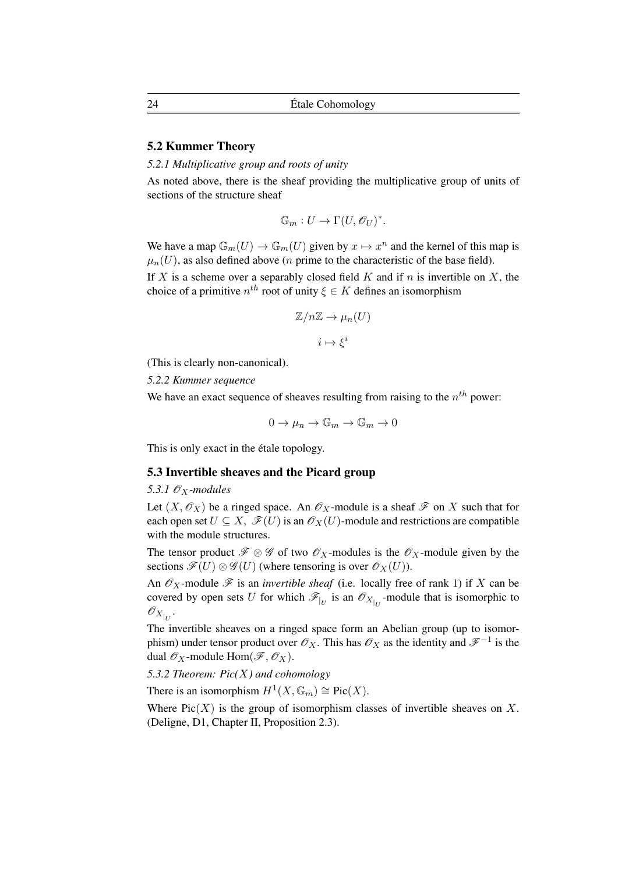## 5.2 Kummer Theory

## *5.2.1 Multiplicative group and roots of unity*

As noted above, there is the sheaf providing the multiplicative group of units of sections of the structure sheaf

$$
\mathbb{G}_m: U \to \Gamma(U, \mathscr{O}_U)^*.
$$

We have a map  $\mathbb{G}_m(U) \to \mathbb{G}_m(U)$  given by  $x \mapsto x^n$  and the kernel of this map is  $\mu_n(U)$ , as also defined above (*n* prime to the characteristic of the base field).

If X is a scheme over a separably closed field  $K$  and if  $n$  is invertible on  $X$ , the choice of a primitive  $n^{th}$  root of unity  $\xi \in K$  defines an isomorphism

$$
\mathbb{Z}/n\mathbb{Z} \to \mu_n(U)
$$

 $i \mapsto \xi^i$ 

(This is clearly non-canonical).

*5.2.2 Kummer sequence*

We have an exact sequence of sheaves resulting from raising to the  $n^{th}$  power:

$$
0 \to \mu_n \to \mathbb{G}_m \to \mathbb{G}_m \to 0
$$

This is only exact in the étale topology.

## 5.3 Invertible sheaves and the Picard group

5.3.1  $\mathcal{O}_X$ *-modules* 

Let  $(X, \mathcal{O}_X)$  be a ringed space. An  $\mathcal{O}_X$ -module is a sheaf  $\mathcal F$  on X such that for each open set  $U \subseteq X$ ,  $\mathscr{F}(U)$  is an  $\mathscr{O}_X(U)$ -module and restrictions are compatible with the module structures.

The tensor product  $\mathcal{F} \otimes \mathcal{G}$  of two  $\mathcal{O}_X$ -modules is the  $\mathcal{O}_X$ -module given by the sections  $\mathscr{F}(U) \otimes \mathscr{G}(U)$  (where tensoring is over  $\mathscr{O}_X(U)$ ).

An  $\mathcal{O}_X$ -module  $\mathcal F$  is an *invertible sheaf* (i.e. locally free of rank 1) if X can be covered by open sets U for which  $\mathcal{F}_{|U}$  is an  $\mathcal{O}_{X|U}$ -module that is isomorphic to  $\mathscr{O}_{X_{|_U}}$ .

The invertible sheaves on a ringed space form an Abelian group (up to isomorphism) under tensor product over  $\mathscr{O}_X$ . This has  $\mathscr{O}_X$  as the identity and  $\mathscr{F}^{-1}$  is the dual  $\mathscr{O}_X$ -module  $\text{Hom}(\mathscr{F}, \mathscr{O}_X)$ .

*5.3.2 Theorem: Pic(*X*) and cohomology*

There is an isomorphism  $H^1(X, \mathbb{G}_m) \cong Pic(X)$ .

Where  $Pic(X)$  is the group of isomorphism classes of invertible sheaves on X. (Deligne, D1, Chapter II, Proposition 2.3).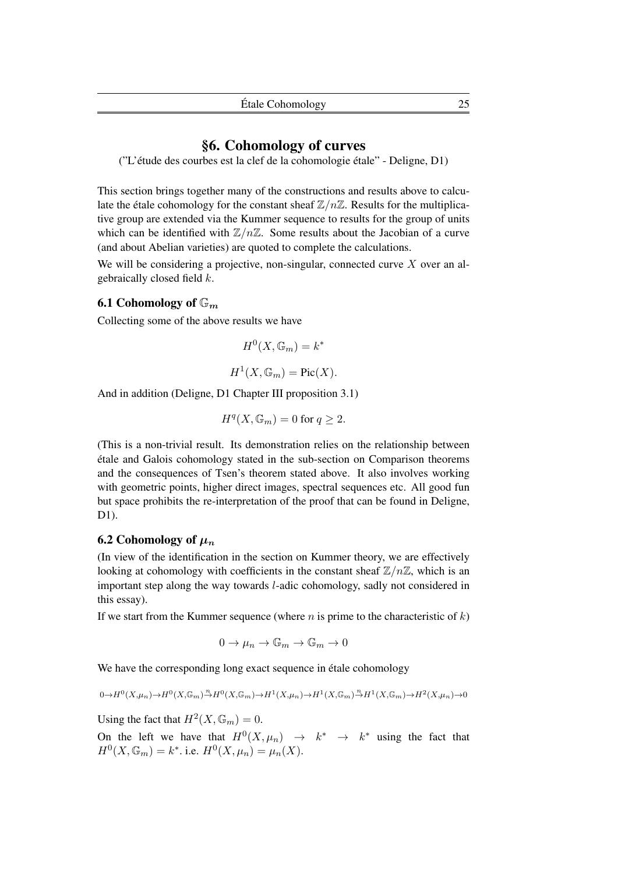## §6. Cohomology of curves

("L'étude des courbes est la clef de la cohomologie étale" - Deligne, D1)

This section brings together many of the constructions and results above to calculate the étale cohomology for the constant sheaf  $\mathbb{Z}/n\mathbb{Z}$ . Results for the multiplicative group are extended via the Kummer sequence to results for the group of units which can be identified with  $\mathbb{Z}/n\mathbb{Z}$ . Some results about the Jacobian of a curve (and about Abelian varieties) are quoted to complete the calculations.

We will be considering a projective, non-singular, connected curve  $X$  over an algebraically closed field k.

## 6.1 Cohomology of  $\mathbb{G}_m$

Collecting some of the above results we have

$$
H^0(X, \mathbb{G}_m) = k^*
$$

$$
H^1(X, \mathbb{G}_m) = \text{Pic}(X).
$$

And in addition (Deligne, D1 Chapter III proposition 3.1)

$$
H^q(X, \mathbb{G}_m) = 0 \text{ for } q \ge 2.
$$

(This is a non-trivial result. Its demonstration relies on the relationship between étale and Galois cohomology stated in the sub-section on Comparison theorems and the consequences of Tsen's theorem stated above. It also involves working with geometric points, higher direct images, spectral sequences etc. All good fun but space prohibits the re-interpretation of the proof that can be found in Deligne, D1).

## 6.2 Cohomology of  $\mu_n$

(In view of the identification in the section on Kummer theory, we are effectively looking at cohomology with coefficients in the constant sheaf  $\mathbb{Z}/n\mathbb{Z}$ , which is an important step along the way towards l-adic cohomology, sadly not considered in this essay).

If we start from the Kummer sequence (where  $n$  is prime to the characteristic of  $k$ )

$$
0 \to \mu_n \to \mathbb{G}_m \to \mathbb{G}_m \to 0
$$

We have the corresponding long exact sequence in étale cohomology

$$
0 \rightarrow H^0(X,\mu_n) \rightarrow H^0(X,\mathbb{G}_m) \stackrel{n}{\rightarrow} H^0(X,\mathbb{G}_m) \rightarrow H^1(X,\mu_n) \rightarrow H^1(X,\mathbb{G}_m) \stackrel{n}{\rightarrow} H^1(X,\mathbb{G}_m) \rightarrow H^2(X,\mu_n) \rightarrow 0
$$

Using the fact that  $H^2(X, \mathbb{G}_m) = 0$ .

On the left we have that  $H^0(X, \mu_n) \rightarrow k^* \rightarrow k^*$  using the fact that  $H^0(X, \mathbb{G}_m) = k^*$ . i.e.  $H^0(X, \mu_n) = \mu_n(X)$ .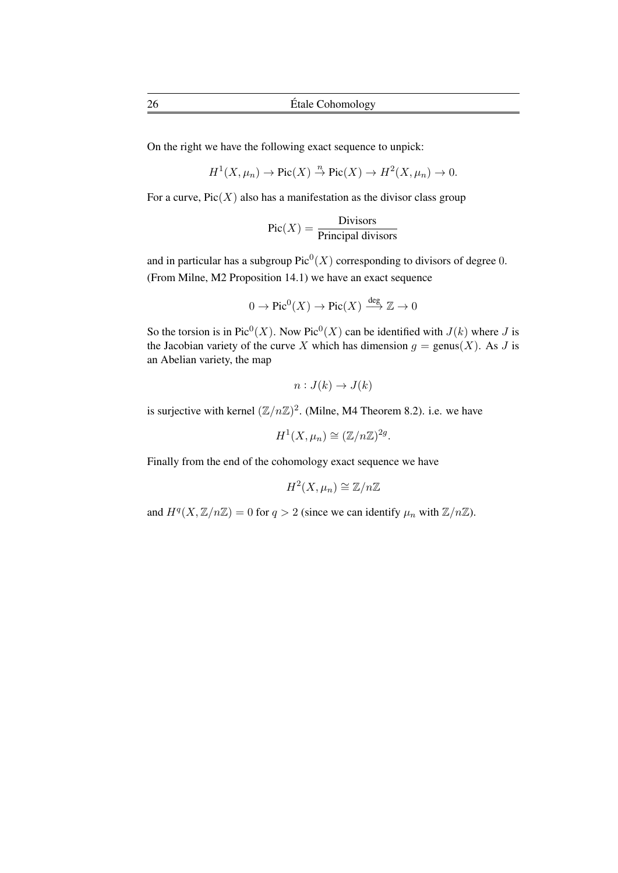On the right we have the following exact sequence to unpick:

$$
H^1(X, \mu_n) \to \text{Pic}(X) \stackrel{n}{\to} \text{Pic}(X) \to H^2(X, \mu_n) \to 0.
$$

For a curve,  $Pic(X)$  also has a manifestation as the divisor class group

$$
Pic(X) = \frac{Divisors}{Principal divisors}
$$

and in particular has a subgroup  $Pic^0(X)$  corresponding to divisors of degree 0. (From Milne, M2 Proposition 14.1) we have an exact sequence

$$
0 \to \mathrm{Pic}^0(X) \to \mathrm{Pic}(X) \xrightarrow{\deg} \mathbb{Z} \to 0
$$

So the torsion is in Pic<sup>0</sup>(X). Now Pic<sup>0</sup>(X) can be identified with  $J(k)$  where J is the Jacobian variety of the curve X which has dimension  $g = \text{genus}(X)$ . As J is an Abelian variety, the map

$$
n: J(k) \to J(k)
$$

is surjective with kernel  $(\mathbb{Z}/n\mathbb{Z})^2$ . (Milne, M4 Theorem 8.2). i.e. we have

$$
H^1(X, \mu_n) \cong (\mathbb{Z}/n\mathbb{Z})^{2g}.
$$

Finally from the end of the cohomology exact sequence we have

$$
H^2(X,\mu_n)\cong \mathbb{Z}/n\mathbb{Z}
$$

and  $H^q(X, \mathbb{Z}/n\mathbb{Z}) = 0$  for  $q > 2$  (since we can identify  $\mu_n$  with  $\mathbb{Z}/n\mathbb{Z}$ ).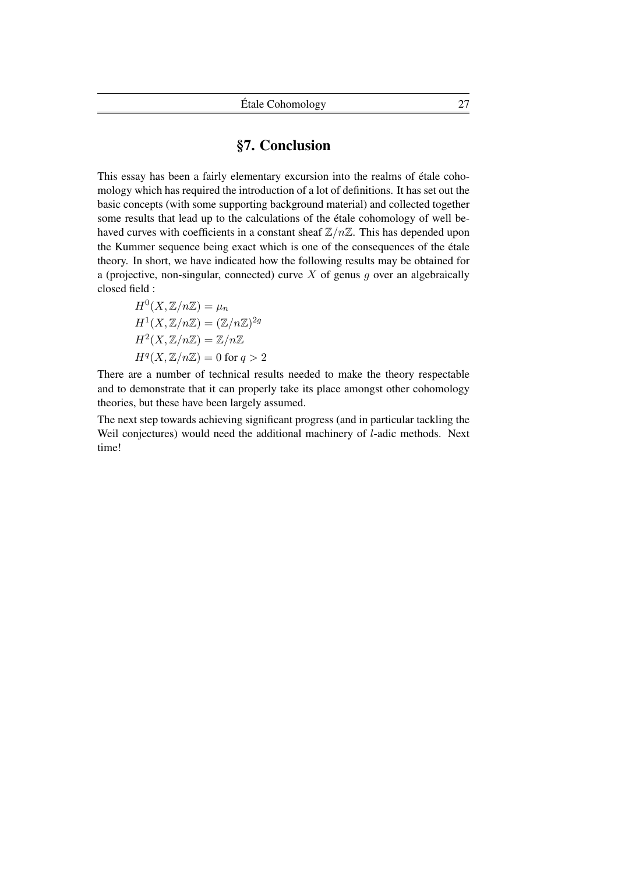## §7. Conclusion

This essay has been a fairly elementary excursion into the realms of étale cohomology which has required the introduction of a lot of definitions. It has set out the basic concepts (with some supporting background material) and collected together some results that lead up to the calculations of the étale cohomology of well behaved curves with coefficients in a constant sheaf  $\mathbb{Z}/n\mathbb{Z}$ . This has depended upon the Kummer sequence being exact which is one of the consequences of the étale theory. In short, we have indicated how the following results may be obtained for a (projective, non-singular, connected) curve  $X$  of genus  $q$  over an algebraically closed field :

$$
H^{0}(X, \mathbb{Z}/n\mathbb{Z}) = \mu_{n}
$$
  
\n
$$
H^{1}(X, \mathbb{Z}/n\mathbb{Z}) = (\mathbb{Z}/n\mathbb{Z})^{2g}
$$
  
\n
$$
H^{2}(X, \mathbb{Z}/n\mathbb{Z}) = \mathbb{Z}/n\mathbb{Z}
$$
  
\n
$$
H^{q}(X, \mathbb{Z}/n\mathbb{Z}) = 0 \text{ for } q > 2
$$

There are a number of technical results needed to make the theory respectable and to demonstrate that it can properly take its place amongst other cohomology theories, but these have been largely assumed.

The next step towards achieving significant progress (and in particular tackling the Weil conjectures) would need the additional machinery of l-adic methods. Next time!